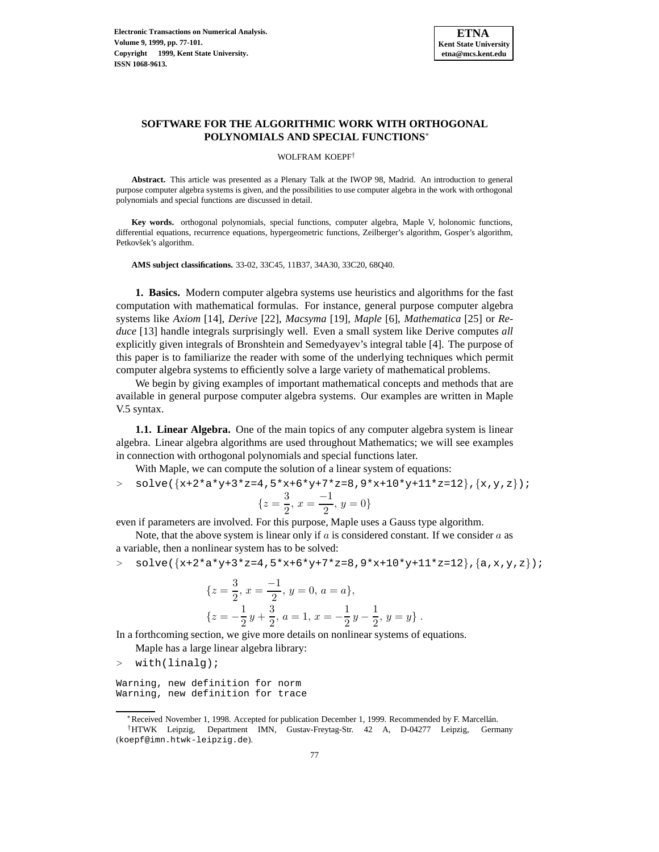

# **SOFTWARE FOR THE ALGORITHMIC WORK WITH ORTHOGONAL POLYNOMIALS AND SPECIAL FUNCTIONS**<sup>∗</sup>

#### WOLFRAM KOEPF†

**Abstract.** This article was presented as a Plenary Talk at the IWOP 98, Madrid. An introduction to general purpose computer algebra systems is given, and the possibilities to use computer algebra in the work with orthogonal polynomials and special functions are discussed in detail.

**Key words.** orthogonal polynomials, special functions, computer algebra, Maple V, holonomic functions, differential equations, recurrence equations, hypergeometric functions, Zeilberger's algorithm, Gosper's algorithm, Petkovšek's algorithm.

**AMS subject classifications.** 33-02, 33C45, 11B37, 34A30, 33C20, 68Q40.

**1. Basics.** Modern computer algebra systems use heuristics and algorithms for the fast computation with mathematical formulas. For instance, general purpose computer algebra systems like *Axiom* [14], *Derive* [22], *Macsyma* [19], *Maple* [6], *Mathematica* [25] or *Reduce* [13] handle integrals surprisingly well. Even a small system like Derive computes *all* explicitly given integrals of Bronshtein and Semedyayev's integral table [4]. The purpose of this paper is to familiarize the reader with some of the underlying techniques which permit computer algebra systems to efficiently solve a large variety of mathematical problems.

We begin by giving examples of important mathematical concepts and methods that are available in general purpose computer algebra systems. Our examples are written in Maple V.5 syntax.

**1.1. Linear Algebra.** One of the main topics of any computer algebra system is linear algebra. Linear algebra algorithms are used throughout Mathematics; we will see examples in connection with orthogonal polynomials and special functions later.

With Maple, we can compute the solution of a linear system of equations:

 $>$  solve({x+2\*a\*y+3\*z=4,5\*x+6\*y+7\*z=8,9\*x+10\*y+11\*z=12},{x,y,z});

$$
\{z = \frac{3}{2}, x = \frac{-1}{2}, y = 0\}
$$

even if parameters are involved. For this purpose, Maple uses a Gauss type algorithm.

Note, that the above system is linear only if  $\alpha$  is considered constant. If we consider  $\alpha$  as a variable, then a nonlinear system has to be solved:

$$
> \quad \text{solve}(\{x+2*a*y+3*z=4,5*x+6*y+7*z=8,9*x+10*y+11*z=12\},\{a,x,y,z\});
$$

{
$$
z = \frac{3}{2}, x = \frac{-1}{2}, y = 0, a = a
$$
},  
{ $z = -\frac{1}{2}y + \frac{3}{2}, a = 1, x = -\frac{1}{2}y - \frac{1}{2}, y = y$  }.

In a forthcoming section, we give more details on nonlinear systems of equations.

Maple has a large linear algebra library:

<sup>&</sup>gt; with(linalg);

Warning, new definition for norm Warning, new definition for trace

<sup>∗</sup>Received November 1, 1998. Accepted for publication December 1, 1999. Recommended by F. Marcell´an.

<sup>†</sup>HTWK Leipzig, Department IMN, Gustav-Freytag-Str. 42 A, D-04277 Leipzig, Germany (koepf@imn.htwk-leipzig.de).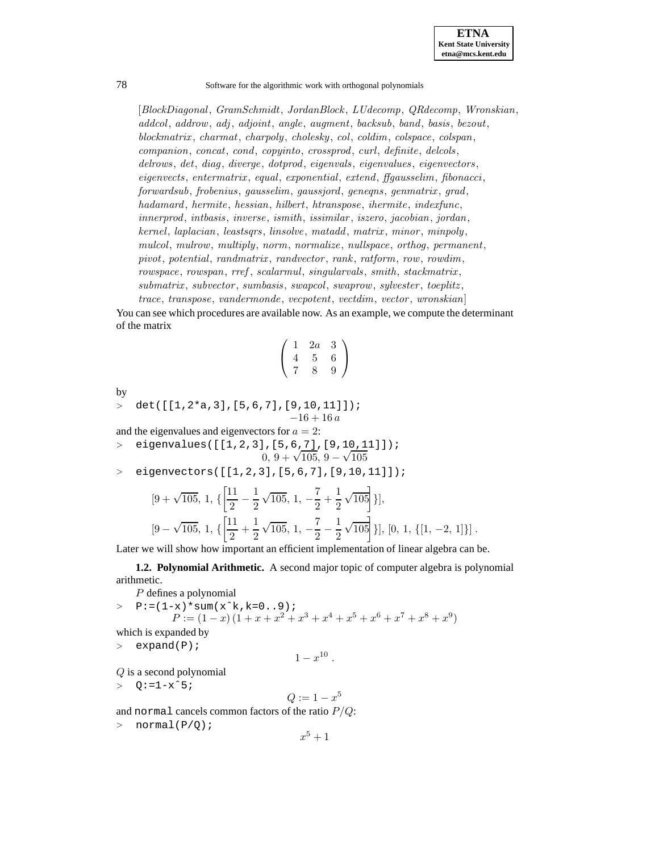

[*BlockDiagonal* , *GramSchmidt*, *JordanBlock* , *LUdecomp*, *QRdecomp*, *Wronskian*, *addcol*, *addrow*, *adj*, *adjoint*, *angle*, *augment*, *backsub*, *band*, *basis*, *bezout*, *blockmatrix* , *charmat*, *charpoly*, *cholesky*, *col*, *coldim*, *colspace*, *colspan*, *companion*, *concat*, *cond*, *copyinto*, *crossprod*, *curl*, *definite*, *delcols*, *delrows*, *det*, *diag*, *diverge*, *dotprod*, *eigenvals* , *eigenvalues*, *eigenvectors*, *eigenvects*, *entermatrix* , *equal*, *exponential*, *extend*, *ffgausselim*, *fibonacci*, *forwardsub*, *frobenius*, *gausselim*, *gaussjord*, *geneqns*, *genmatrix* , *grad*, *hadamard*, *hermite*, *hessian*, *hilbert*, *htranspose*, *ihermite*, *indexfunc*, *innerprod*, *intbasis*, *inverse*, *ismith*, *issimilar* , *iszero*, *jacobian*, *jordan*, *kernel*, *laplacian*, *leastsqrs*, *linsolve*, *matadd*, *matrix* , *minor* , *minpoly*, *mulcol*, *mulrow*, *multiply*, *norm*, *normalize*, *nullspace*, *orthog*, *permanent*, *pivot*, *potential*, *randmatrix* , *randvector* , *rank*, *ratform*, *row*, *rowdim*, *rowspace*, *rowspan*, *rref* , *scalarmul*, *singularvals*, *smith*, *stackmatrix* , *submatrix* , *subvector* , *sumbasis*, *swapcol*, *swaprow*, *sylvester* , *toeplitz* ,

*trace*, *transpose*, *vandermonde*, *vecpotent*, *vectdim*, *vector* , *wronskian*] You can see which procedures are available now. As an example, we compute the determinant of the matrix

$$
\left(\begin{array}{ccc}\n1 & 2a & 3 \\
4 & 5 & 6 \\
7 & 8 & 9\n\end{array}\right)
$$

by

<sup>&</sup>gt; det([[1,2\*a,3],[5,6,7],[9,10,11]]); −16 + 16 a

and the eigenvalues and eigenvectors for  $a = 2$ : <sup>&</sup>gt; eigenvalues([[1,2,3],[5,6,7],[9,10,11]]);  $0, 9 + \sqrt{105}, 9 - \sqrt{105}$ 

<sup>&</sup>gt; eigenvectors([[1,2,3],[5,6,7],[9,10,11]]);

$$
[9+\sqrt{105}, 1, \{\left[\frac{11}{2}-\frac{1}{2}\sqrt{105}, 1, -\frac{7}{2}+\frac{1}{2}\sqrt{105}\right]\}],
$$
  

$$
[9-\sqrt{105}, 1, \{\left[\frac{11}{2}+\frac{1}{2}\sqrt{105}, 1, -\frac{7}{2}-\frac{1}{2}\sqrt{105}\right]\}], [0, 1, \{[1, -2, 1]\}].
$$

Later we will show how important an efficient implementation of linear algebra can be.

**1.2. Polynomial Arithmetic.** A second major topic of computer algebra is polynomial arithmetic.

P defines a polynomial

 $> P:=(1-x)*sum(x^k,k=0..9);$  $P := (1-x)(1+x+x^2+x^3+x^4+x^5+x^6+x^7+x^8+x^9)$ which is expanded by

```
> expand(P);
```

```
1 - x^{10}.
```
Q is a second polynomial

 $> Q: =1-x^5;$ 

$$
Q:=1-x^5
$$

and normal cancels common factors of the ratio  $P/Q$ :

 $>$  normal(P/Q);

$$
x^5 + 1
$$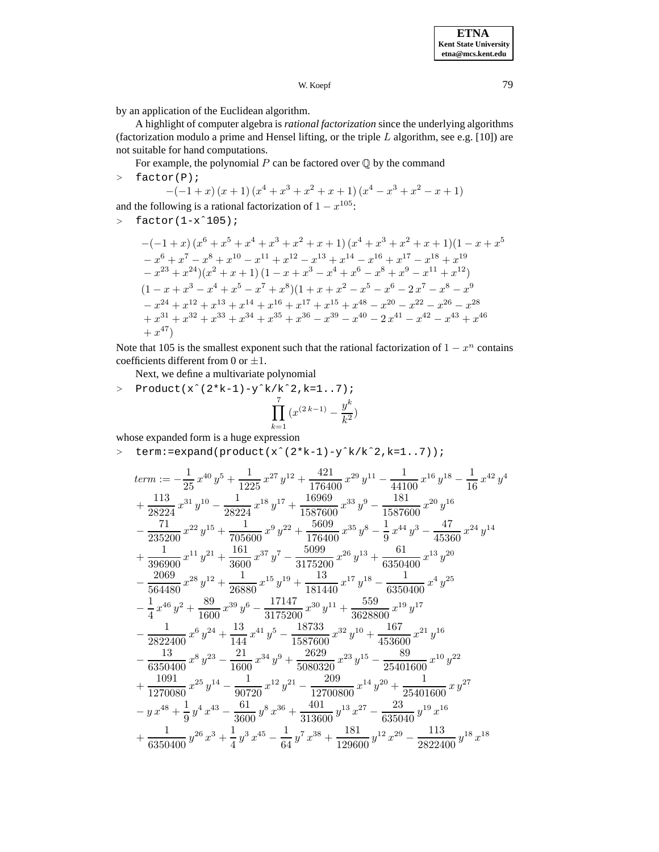W. Koepf 79

by an application of the Euclidean algorithm.

A highlight of computer algebra is *rational factorization* since the underlying algorithms (factorization modulo a prime and Hensel lifting, or the triple  $L$  algorithm, see e.g. [10]) are not suitable for hand computations.

For example, the polynomial  $P$  can be factored over  $\mathbb Q$  by the command

<sup>&</sup>gt; factor(P);

$$
-(-1+x)(x+1)(x4+x3+x2+x+1)(x4-x3+x2-x+1)
$$

and the following is a rational factorization of  $1 - x^{105}$ :

 $>$  factor(1-x<sup> $\hat{1}05$ );</sup>

$$
-(-1+x)(x^{6} + x^{5} + x^{4} + x^{3} + x^{2} + x + 1)(x^{4} + x^{3} + x^{2} + x + 1)(1 - x + x^{5}
$$
  
\n
$$
-x^{6} + x^{7} - x^{8} + x^{10} - x^{11} + x^{12} - x^{13} + x^{14} - x^{16} + x^{17} - x^{18} + x^{19}
$$
  
\n
$$
-x^{23} + x^{24})(x^{2} + x + 1)(1 - x + x^{3} - x^{4} + x^{6} - x^{8} + x^{9} - x^{11} + x^{12})
$$
  
\n
$$
(1 - x + x^{3} - x^{4} + x^{5} - x^{7} + x^{8})(1 + x + x^{2} - x^{5} - x^{6} - 2x^{7} - x^{8} - x^{9}
$$
  
\n
$$
-x^{24} + x^{12} + x^{13} + x^{14} + x^{16} + x^{17} + x^{15} + x^{48} - x^{20} - x^{22} - x^{26} - x^{28}
$$
  
\n
$$
+x^{31} + x^{32} + x^{33} + x^{34} + x^{35} + x^{36} - x^{39} - x^{40} - 2x^{41} - x^{42} - x^{43} + x^{46}
$$
  
\n
$$
+x^{47})
$$

Note that 105 is the smallest exponent such that the rational factorization of  $1 - x^n$  contains coefficients different from 0 or  $\pm 1$ .

Next, we define a multivariate polynomial

> Product(x^(2\*k-1)-y^k/k^2,k=1..7);  
\n
$$
\prod_{k=1}^7 (x^{(2k-1)} - \frac{y^k}{k^2})
$$

whose expanded form is a huge expression

<sup>&</sup>gt; term:=expand(product(xˆ(2\*k-1)-yˆk/kˆ2,k=1..7));

$$
\begin{aligned} & term:= -\frac{1}{25} \, x^{40} \, y^5 + \frac{1}{1225} \, x^{27} \, y^{12} + \frac{421}{176400} \, x^{29} \, y^{11} - \frac{1}{44100} \, x^{16} \, y^{18} - \frac{1}{16} \, x^{42} \, y^4 \\& + \frac{113}{28224} \, x^{31} \, y^{10} - \frac{1}{28224} \, x^{18} \, y^{17} + \frac{16969}{1587600} \, x^{33} \, y^9 - \frac{181}{1587600} \, x^{20} \, y^{16} \\& - \frac{71}{235200} \, x^{22} \, y^{15} + \frac{1}{705600} \, x^9 \, y^{22} + \frac{5609}{176400} \, x^{35} \, y^8 - \frac{1}{9} \, x^{44} \, y^3 - \frac{47}{45360} \, x^{24} \, y^{14} \\& + \frac{1}{396900} \, x^{11} \, y^{21} + \frac{161}{3600} \, x^{37} \, y^7 - \frac{5099}{3175200} \, x^{26} \, y^{13} + \frac{61}{6350400} \, x^{13} \, y^{20} \\& - \frac{2069}{564480} \, x^{28} \, y^{12} + \frac{1}{26880} \, x^{15} \, y^{19} + \frac{13}{181440} \, x^{17} \, y^{18} - \frac{1}{6350400} \, x^4 \, y^{25} \\& - \frac{1}{4} \, x^{46} \, y^2 + \frac{89}{1600} \, x^{39} \, y^6 - \frac{17147}{3175200} \, x^{30} \, y^{11} + \frac{559}{3628800} \, x^{19} \, y^{17} \\& - \frac{1}{2822400} \, x^6 \, y^{24} + \frac{13}{144} \, x^{41} \, y^
$$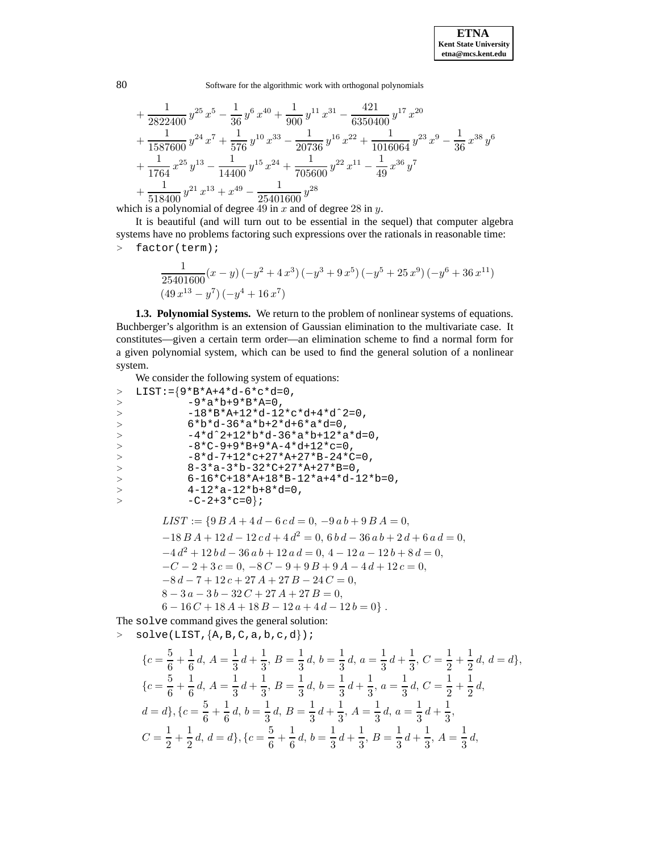$$
+\frac{1}{2822400}y^{25}x^5 - \frac{1}{36}y^6x^{40} + \frac{1}{900}y^{11}x^{31} - \frac{421}{6350400}y^{17}x^{20} \n+\frac{1}{1587600}y^{24}x^7 + \frac{1}{576}y^{10}x^{33} - \frac{1}{20736}y^{16}x^{22} + \frac{1}{1016064}y^{23}x^9 - \frac{1}{36}x^{38}y^6 \n+\frac{1}{1764}x^{25}y^{13} - \frac{1}{14400}y^{15}x^{24} + \frac{1}{705600}y^{22}x^{11} - \frac{1}{49}x^{36}y^7 \n+\frac{1}{518400}y^{21}x^{13} + x^{49} - \frac{1}{25401600}y^{28}
$$

which is a polynomial of degree 49 in  $x$  and of degree 28 in  $y$ .

It is beautiful (and will turn out to be essential in the sequel) that computer algebra systems have no problems factoring such expressions over the rationals in reasonable time: <sup>&</sup>gt; factor(term);

$$
\frac{1}{25401600}(x-y)(-y^2+4x^3)(-y^3+9x^5)(-y^5+25x^9)(-y^6+36x^{11})
$$
  

$$
(49x^{13}-y^7)(-y^4+16x^7)
$$

**1.3. Polynomial Systems.** We return to the problem of nonlinear systems of equations. Buchberger's algorithm is an extension of Gaussian elimination to the multivariate case. It constitutes—given a certain term order—an elimination scheme to find a normal form for a given polynomial system, which can be used to find the general solution of a nonlinear system.

We consider the following system of equations:

```
> LIST:={}9*B*A+4*d-6*c*d=0,> -9*a*b+9*B*A=0,
> -18*B*A+12*d-12*c*d+4*d^2=0,<br>
> 6*b*d-36*a*b+2*d+6*a*d=0,> 6*b*d-36*a*b+2*d+6*a*d=0,
            > -4*dˆ2+12*b*d-36*a*b+12*a*d=0,
> -8*(-9+9*B+9*A-4*d+12*c=0,<br>> -8*d-7+12*c+27*A+27*B-24*C-8*d-7+12*c+27*A+27*B-24*C=0,> 8-3*a-3*b-32*C+27*A+27*B=0,
> 6-16*C+18*A+18*B-12*a+4*d-12*b=0,<br>
> 4-12*a-12*b+8*d=0,4-12*a-12*b+8*d=0,
> -C-2+3*c=0};
        LIST := \{9BA + 4d - 6cd = 0, -9ab + 9BA = 0,\overline{18} B A + 12 d + 12 d + 4 d<sup>2</sup> = 0, 6 b d = 36 a b + 2 d + 6
```

$$
-18BA + 12d - 12cd + 4d^{2} = 0, 6bd - 36ab + 2d + 6ad = 0,
$$
  
\n
$$
-4d^{2} + 12bd - 36ab + 12ad = 0, 4 - 12a - 12b + 8d = 0,
$$
  
\n
$$
-C - 2 + 3c = 0, -8C - 9 + 9B + 9A - 4d + 12c = 0,
$$
  
\n
$$
-8d - 7 + 12c + 27A + 27B - 24C = 0,
$$
  
\n
$$
8 - 3a - 3b - 32C + 27A + 27B = 0,
$$
  
\n
$$
6 - 16C + 18A + 18B - 12a + 4d - 12b = 0.
$$

The solve command gives the general solution:  $>$  solve(LIST,  $\{A, B, C, a, b, c, d\}$ );

$$
\{c = \frac{5}{6} + \frac{1}{6}d, A = \frac{1}{3}d + \frac{1}{3}, B = \frac{1}{3}d, b = \frac{1}{3}d, a = \frac{1}{3}d + \frac{1}{3}, C = \frac{1}{2} + \frac{1}{2}d, d = d\},\
$$
  

$$
\{c = \frac{5}{6} + \frac{1}{6}d, A = \frac{1}{3}d + \frac{1}{3}, B = \frac{1}{3}d, b = \frac{1}{3}d + \frac{1}{3}, a = \frac{1}{3}d, C = \frac{1}{2} + \frac{1}{2}d,
$$
  

$$
d = d\}, \{c = \frac{5}{6} + \frac{1}{6}d, b = \frac{1}{3}d, B = \frac{1}{3}d + \frac{1}{3}, A = \frac{1}{3}d, a = \frac{1}{3}d + \frac{1}{3},
$$
  

$$
C = \frac{1}{2} + \frac{1}{2}d, d = d\}, \{c = \frac{5}{6} + \frac{1}{6}d, b = \frac{1}{3}d + \frac{1}{3}, B = \frac{1}{3}d + \frac{1}{3}, A = \frac{1}{3}d,
$$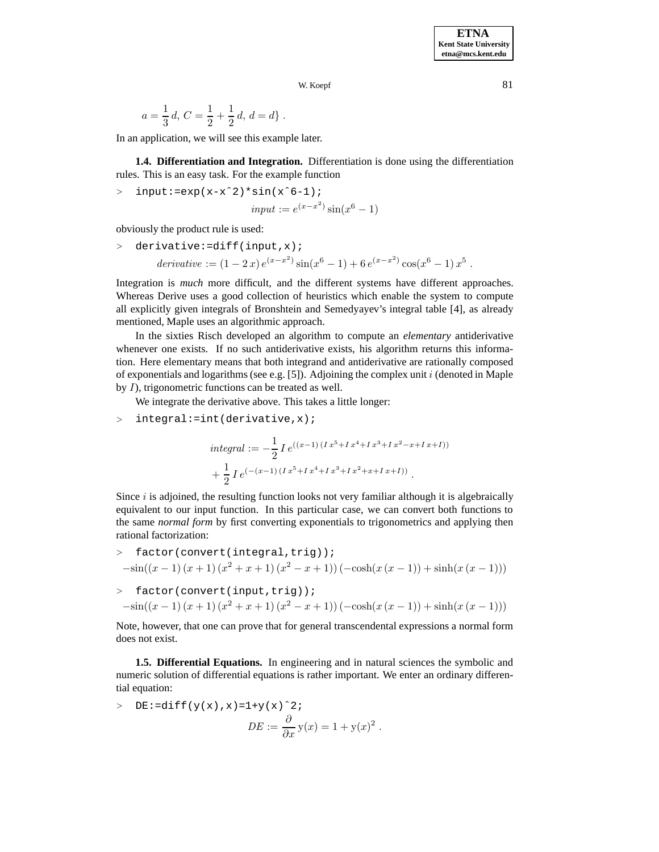$$
a = \frac{1}{3}d
$$
,  $C = \frac{1}{2} + \frac{1}{2}d$ ,  $d = d$ .

In an application, we will see this example later.

**1.4. Differentiation and Integration.** Differentiation is done using the differentiation rules. This is an easy task. For the example function

 $>$  input:=exp(x-x<sup>2</sup>)\*sin(x<sup>2</sup>6-1);

$$
input := e^{(x - x^2)} \sin(x^6 - 1)
$$

obviously the product rule is used:

$$
\begin{aligned}\n &\text{derivative:} = \text{diff}(\text{input}, x) \, ; \\
 &\text{derivative:} = (1 - 2x) \, e^{(x - x^2)} \sin(x^6 - 1) + 6 \, e^{(x - x^2)} \cos(x^6 - 1) \, x^5 \, .\n \end{aligned}
$$

Integration is *much* more difficult, and the different systems have different approaches. Whereas Derive uses a good collection of heuristics which enable the system to compute all explicitly given integrals of Bronshtein and Semedyayev's integral table [4], as already mentioned, Maple uses an algorithmic approach.

In the sixties Risch developed an algorithm to compute an *elementary* antiderivative whenever one exists. If no such antiderivative exists, his algorithm returns this information. Here elementary means that both integrand and antiderivative are rationally composed of exponentials and logarithms (see e.g. [5]). Adjoining the complex unit  $i$  (denoted in Maple by I), trigonometric functions can be treated as well.

We integrate the derivative above. This takes a little longer:

$$
> integral\div(\text{derivative}, x);
$$

$$
integral := -\frac{1}{2} I e^{((x-1) (I x^5 + I x^4 + I x^3 + I x^2 - x + I x + I))}
$$

$$
+ \frac{1}{2} I e^{(-(x-1) (I x^5 + I x^4 + I x^3 + I x^2 + x + I x + I))}.
$$

Since  $i$  is adjoined, the resulting function looks not very familiar although it is algebraically equivalent to our input function. In this particular case, we can convert both functions to the same *normal form* by first converting exponentials to trigonometrics and applying then rational factorization:

$$
> factor(convert(integral, trig));
$$
  
\n
$$
-sin((x-1)(x+1)(x^2+x+1)(x^2-x+1))(-cosh(x(x-1))+sinh(x(x-1)))
$$
  
\n
$$
= factor(convert(intput, trig));
$$

$$
-\sin((x-1)(x+1)(x^{2}+x+1)(x^{2}-x+1))(-\cosh(x(x-1))+\sinh(x(x-1)))
$$

Note, however, that one can prove that for general transcendental expressions a normal form does not exist.

**1.5. Differential Equations.** In engineering and in natural sciences the symbolic and numeric solution of differential equations is rather important. We enter an ordinary differential equation:

> DE :=diff(y(x), x) = 1+y(x)<sup>2</sup>;  
\n
$$
DE := \frac{\partial}{\partial x} y(x) = 1 + y(x)^2.
$$

**ETNA Kent State University etna@mcs.kent.edu**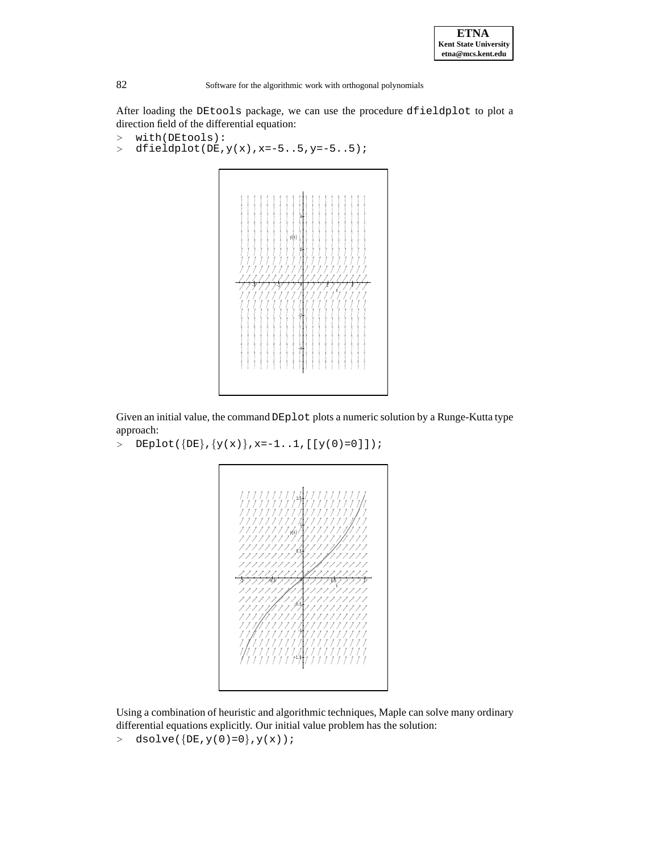

After loading the DEtools package, we can use the procedure dfieldplot to plot a direction field of the differential equation:

```
> with(DEtools):<br>> dfieldplot(DE,
```
 $dfieldplot(DE, y(x), x=-5..5, y=-5..5);$ 



Given an initial value, the command DEplot plots a numeric solution by a Runge-Kutta type approach:

>  $\text{DEplot}(\{DE\}, \{y(x)\}, x=-1..1, [[y(0)=0]]);$ 



Using a combination of heuristic and algorithmic techniques, Maple can solve many ordinary differential equations explicitly. Our initial value problem has the solution:

 $> dsolve({DE,y(0)=0},y(x));$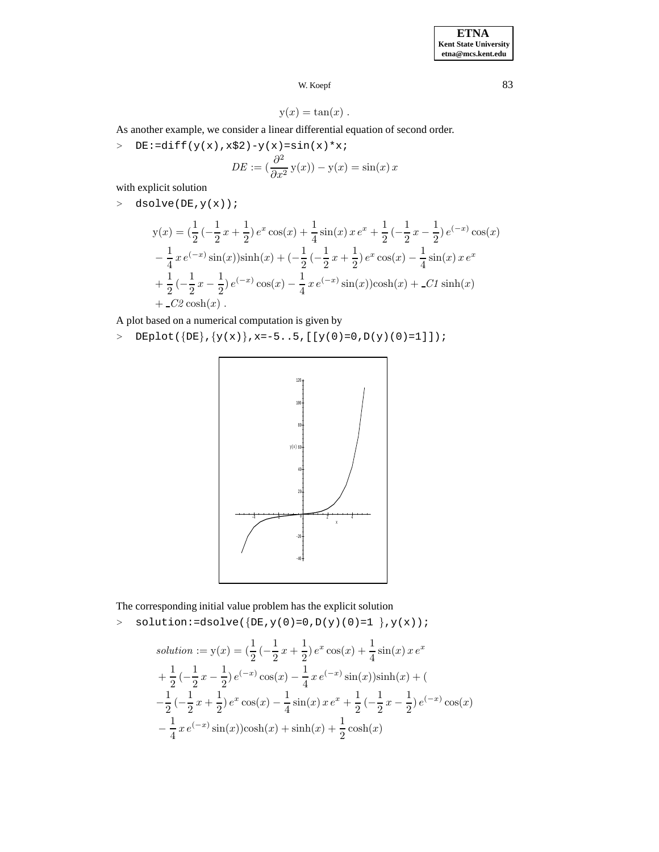$$
y(x) = \tan(x) .
$$

As another example, we consider a linear differential equation of second order.

>  $DE:=diff(y(x),x$2)-y(x)=sin(x)*x;$ 

$$
DE := \left(\frac{\partial^2}{\partial x^2} y(x)\right) - y(x) = \sin(x) x
$$

with explicit solution

 $>$  dsolve(DE,  $y(x)$ );

$$
y(x) = \left(\frac{1}{2}\left(-\frac{1}{2}x + \frac{1}{2}\right)e^x\cos(x) + \frac{1}{4}\sin(x)x e^x + \frac{1}{2}\left(-\frac{1}{2}x - \frac{1}{2}\right)e^{(-x)}\cos(x)\right)
$$
  

$$
-\frac{1}{4}xe^{(-x)}\sin(x)\sinh(x) + \left(-\frac{1}{2}\left(-\frac{1}{2}x + \frac{1}{2}\right)e^x\cos(x) - \frac{1}{4}\sin(x)x e^x\right)
$$
  

$$
+\frac{1}{2}\left(-\frac{1}{2}x - \frac{1}{2}\right)e^{(-x)}\cos(x) - \frac{1}{4}xe^{(-x)}\sin(x)\cosh(x) + \frac{C_1}{2}\sinh(x)
$$
  

$$
+ \frac{C_2}{2}\cosh(x).
$$

A plot based on a numerical computation is given by

>  $DEFedcup[DE]{(y(x), x=-5..5, [[y(0)=0,D(y)(0)=1]])};$ 



The corresponding initial value problem has the explicit solution

 $>$  solution:=dsolve({DE,  $y(0)=0$ ,  $D(y)(0)=1$ },  $y(x)$ ;

solution := 
$$
y(x) = (\frac{1}{2}(-\frac{1}{2}x + \frac{1}{2})e^x \cos(x) + \frac{1}{4}\sin(x)xe^x
$$
  
+  $\frac{1}{2}(-\frac{1}{2}x - \frac{1}{2})e^{(-x)}\cos(x) - \frac{1}{4}xe^{(-x)}\sin(x)\sinh(x) +$   
-  $\frac{1}{2}(-\frac{1}{2}x + \frac{1}{2})e^x \cos(x) - \frac{1}{4}\sin(x)xe^x + \frac{1}{2}(-\frac{1}{2}x - \frac{1}{2})e^{(-x)}\cos(x)$   
-  $\frac{1}{4}xe^{(-x)}\sin(x)\cosh(x) + \sinh(x) + \frac{1}{2}\cosh(x)$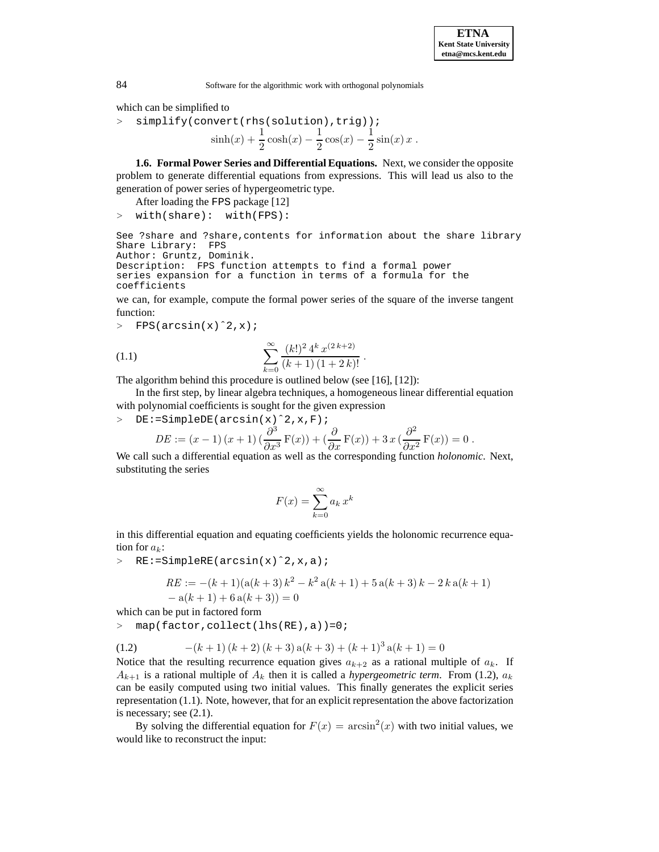which can be simplified to

<sup>&</sup>gt; simplify(convert(rhs(solution),trig));  $\sinh(x) + \frac{1}{2}\cosh(x) - \frac{1}{2}\cos(x) - \frac{1}{2}\sin(x)x$ .

**1.6. Formal Power Series and Differential Equations.** Next, we consider the opposite problem to generate differential equations from expressions. This will lead us also to the generation of power series of hypergeometric type.

- After loading the FPS package [12]
- <sup>&</sup>gt; with(share): with(FPS):

```
See ?share and ?share,contents for information about the share library
Share Library: FPS
Author: Gruntz, Dominik.
```

```
Description: FPS function attempts to find a formal power
series expansion for a function in terms of a formula for the
coefficients
```
we can, for example, compute the formal power series of the square of the inverse tangent function:

 $>$  FPS(arcsin(x)^2,x);

(1.1) 
$$
\sum_{k=0}^{\infty} \frac{(k!)^2 4^k x^{(2k+2)}}{(k+1) (1+2k)!}.
$$

The algorithm behind this procedure is outlined below (see [16], [12]):

In the first step, by linear algebra techniques, a homogeneous linear differential equation with polynomial coefficients is sought for the given expression

<sup>&</sup>gt; DE:=SimpleDE(arcsin(x)ˆ2,x,F);

$$
DE := (x-1)(x+1)\left(\frac{\partial^3}{\partial x^3}F(x)\right) + \left(\frac{\partial}{\partial x}F(x)\right) + 3x\left(\frac{\partial^2}{\partial x^2}F(x)\right) = 0.
$$

We call such a differential equation as well as the corresponding function *holonomic*. Next, substituting the series

$$
F(x) = \sum_{k=0}^{\infty} a_k x^k
$$

in this differential equation and equating coefficients yields the holonomic recurrence equation for  $a_k$ :

<sup>&</sup>gt; RE:=SimpleRE(arcsin(x)ˆ2,x,a);

$$
RE := -(k+1)(a(k+3)k2 - k2 a(k+1) + 5 a(k+3)k - 2 k a(k+1)- a(k+1) + 6 a(k+3)) = 0
$$

which can be put in factored form

<sup>&</sup>gt; map(factor,collect(lhs(RE),a))=0;

(1.2) 
$$
-(k+1)(k+2)(k+3)a(k+3) + (k+1)^3a(k+1) = 0
$$

Notice that the resulting recurrence equation gives  $a_{k+2}$  as a rational multiple of  $a_k$ . If  $A_{k+1}$  is a rational multiple of  $A_k$  then it is called a *hypergeometric term*. From (1.2),  $a_k$ can be easily computed using two initial values. This finally generates the explicit series representation (1.1). Note, however, that for an explicit representation the above factorization is necessary; see (2.1).

By solving the differential equation for  $F(x) = \arcsin^{2}(x)$  with two initial values, we would like to reconstruct the input: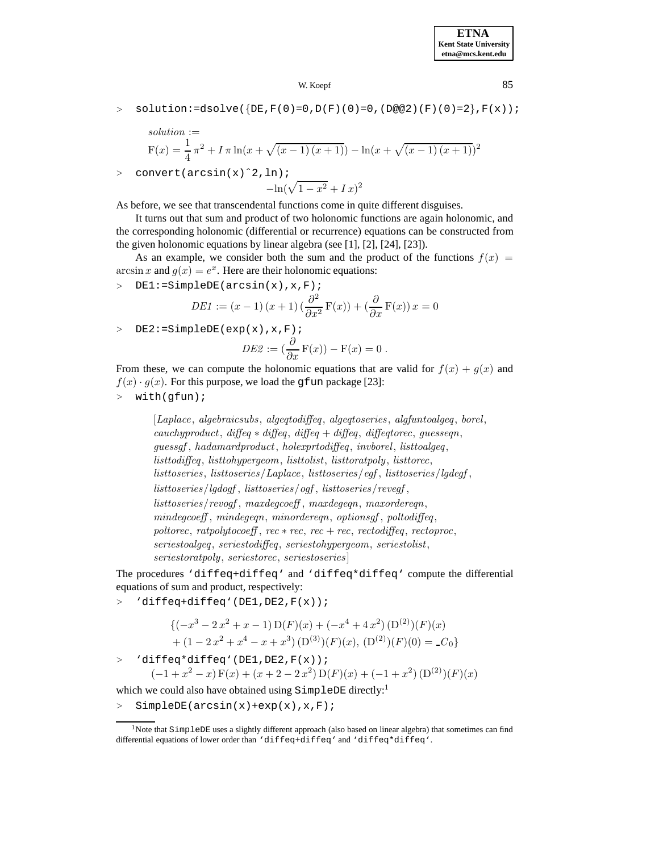$>$  solution:=dsolve({DE,F(0)=0,D(F)(0)=0,(D@@2)(F)(0)=2},F(x));

solution :=  
\n
$$
F(x) = \frac{1}{4} \pi^2 + I \pi \ln(x + \sqrt{(x-1)(x+1)}) - \ln(x + \sqrt{(x-1)(x+1)})^2
$$

<sup>&</sup>gt; convert(arcsin(x)ˆ2,ln);

$$
-\ln(\sqrt{1-x^2} + Ix)^2
$$

As before, we see that transcendental functions come in quite different disguises.

It turns out that sum and product of two holonomic functions are again holonomic, and the corresponding holonomic (differential or recurrence) equations can be constructed from the given holonomic equations by linear algebra (see [1], [2], [24], [23]).

As an example, we consider both the sum and the product of the functions  $f(x) =$ arcsin x and  $g(x) = e^x$ . Here are their holonomic equations:

<sup>&</sup>gt; DE1:=SimpleDE(arcsin(x),x,F);

$$
DE1 := (x - 1) (x + 1) \left(\frac{\partial^2}{\partial x^2} F(x)\right) + \left(\frac{\partial}{\partial x} F(x)\right) x = 0
$$

 $>$  DE2:=SimpleDE(exp(x), x, F);

$$
DE2 := \left(\frac{\partial}{\partial x}\mathbf{F}(x)\right) - \mathbf{F}(x) = 0.
$$

From these, we can compute the holonomic equations that are valid for  $f(x) + g(x)$  and  $f(x) \cdot g(x)$ . For this purpose, we load the gfun package [23]:

<sup>&</sup>gt; with(gfun);

[*Laplace*, *algebraicsubs*, *algeqtodiffeq*, *algeqtoseries* , *algfuntoalgeq*, *borel*, *cauchyproduct*, *diffeq* ∗ *diffeq*, *diffeq* + *diffeq*, *diffeqtorec*, *guesseqn*, *guessgf* , *hadamardproduct*, *holexprtodiffeq* , *invborel*, *listtoalgeq*, *listtodiffeq*, *listtohypergeom*, *listtolist*, *listtoratpoly*, *listtorec*, *listtoseries*, *listtoseries*/*Laplace*, *listtoseries*/*egf* , *listtoseries*/*lgdegf* , *listtoseries*/*lgdogf* , *listtoseries*/*ogf* , *listtoseries*/*revegf* , *listtoseries*/*revogf* , *maxdegcoeff* , *maxdegeqn*, *maxordereqn*, *mindegcoeff* , *mindegeqn*, *minordereqn*, *optionsgf* , *poltodiffeq*,  $poltorec, \rratpolytocoeff, \rrec * rec, \rrec + rec, \rrectodiffeq, \rrectoproc,$ *seriestoalgeq*, *seriestodiffeq*, *seriestohypergeom*, *seriestolist*, *seriestoratpoly*, *seriestorec*, *seriestoseries* ]

The procedures 'diffeq+diffeq' and 'diffeq\*diffeq' compute the differential equations of sum and product, respectively:

<sup>&</sup>gt; 'diffeq+diffeq'(DE1,DE2,F(x));

$$
\{(-x^3 - 2x^2 + x - 1) D(F)(x) + (-x^4 + 4x^2) (D^{(2)})(F)(x)
$$
  
+  $(1 - 2x^2 + x^4 - x + x^3) (D^{(3)})(F)(x), (D^{(2)})(F)(0) = C_0\}$ 

<sup>&</sup>gt; 'diffeq\*diffeq'(DE1,DE2,F(x));  $(-1+x^2-x) F(x) + (x+2-2x^2) D(F)(x) + (-1+x^2) (D^{(2)})(F)(x)$ 

which we could also have obtained using SimpleDE directly:<sup>1</sup>

 $>$  SimpleDE(arcsin(x)+exp(x), x, F);

<sup>&</sup>lt;sup>1</sup>Note that SimpleDE uses a slightly different approach (also based on linear algebra) that sometimes can find differential equations of lower order than 'diffeq+diffeq' and 'diffeq\*diffeq'.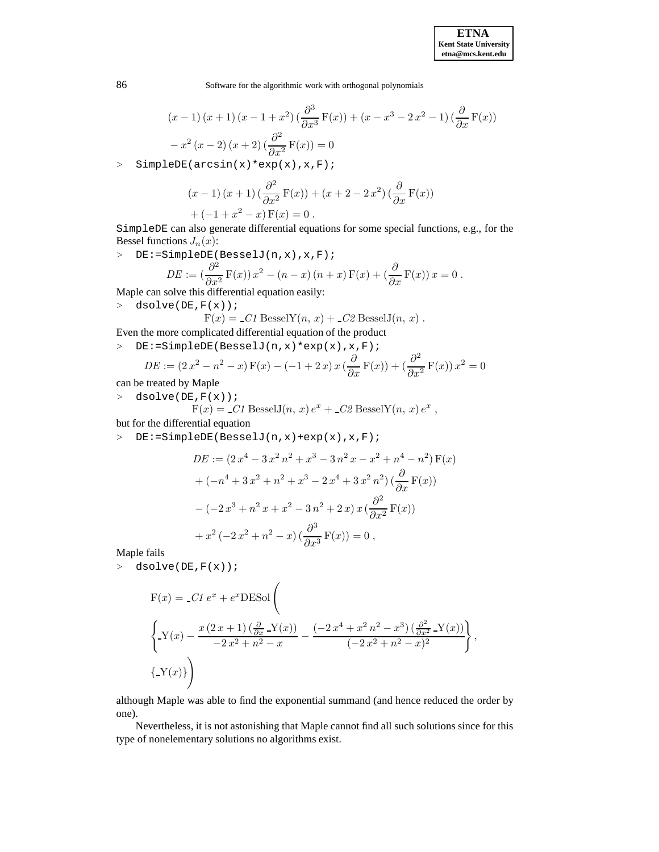86 Software for the algorithmic work with orthogonal polynomials

$$
(x-1)(x+1)(x-1+x^2)(\frac{\partial^3}{\partial x^3}F(x)) + (x-x^3-2x^2-1)(\frac{\partial}{\partial x}F(x))
$$

$$
-x^2(x-2)(x+2)(\frac{\partial^2}{\partial x^2}F(x)) = 0
$$

<sup>&</sup>gt; SimpleDE(arcsin(x)\*exp(x),x,F);

$$
(x-1)(x+1)\left(\frac{\partial^2}{\partial x^2}\mathbf{F}(x)\right) + (x+2-2x^2)\left(\frac{\partial}{\partial x}\mathbf{F}(x)\right)
$$

$$
+ (-1 + x2 - x) F(x) = 0.
$$

SimpleDE can also generate differential equations for some special functions, e.g., for the Bessel functions  $J_n(x)$ :

<sup>&</sup>gt; DE:=SimpleDE(BesselJ(n,x),x,F);

$$
DE := \left(\frac{\partial^2}{\partial x^2} F(x)\right) x^2 - (n - x)(n + x) F(x) + \left(\frac{\partial}{\partial x} F(x)\right) x = 0.
$$

Maple can solve this differential equation easily:

 $>$  dsolve(DE,  $F(x)$ );

 $F(x) = C1$  Bessel $Y(n, x) + C2$  Bessel $J(n, x)$ .

Even the more complicated differential equation of the product

<sup>&</sup>gt; DE:=SimpleDE(BesselJ(n,x)\*exp(x),x,F);

$$
DE := (2x^2 - n^2 - x) F(x) - (-1 + 2x) x \left(\frac{\partial}{\partial x} F(x)\right) + \left(\frac{\partial^2}{\partial x^2} F(x)\right) x^2 = 0
$$

can be treated by Maple

<sup>&</sup>gt; dsolve(DE,F(x));

$$
F(x) = C1
$$
BesselJ $(n, x) e^x + C2$ BesselY $(n, x) e^x$ ,

but for the differential equation

<sup>&</sup>gt; DE:=SimpleDE(BesselJ(n,x)+exp(x),x,F);

$$
DE := (2x^4 - 3x^2n^2 + x^3 - 3n^2x - x^2 + n^4 - n^2) F(x)
$$
  
+ 
$$
(-n^4 + 3x^2 + n^2 + x^3 - 2x^4 + 3x^2n^2) (\frac{\partial}{\partial x} F(x))
$$
  
- 
$$
(-2x^3 + n^2x + x^2 - 3n^2 + 2x)x (\frac{\partial^2}{\partial x^2} F(x))
$$
  
+ 
$$
x^2 (-2x^2 + n^2 - x) (\frac{\partial^3}{\partial x^3} F(x)) = 0,
$$

Maple fails

<sup>&</sup>gt; dsolve(DE,F(x));

$$
F(x) = C1 e^{x} + e^{x} \text{DESol}\left(\frac{1}{2x} \sum_{x} (x - x)^{x} \frac{1}{2x^{2} + x^{2} - x} - \frac{(-2x^{4} + x^{2} - x^{3}) (\frac{\partial^{2}}{\partial x^{2}} - Y(x))}{(-2x^{2} + x^{2} - x)^{2}}\right),
$$
  
\n
$$
\left\{Y(x)\right\}
$$

although Maple was able to find the exponential summand (and hence reduced the order by one).

Nevertheless, it is not astonishing that Maple cannot find all such solutions since for this type of nonelementary solutions no algorithms exist.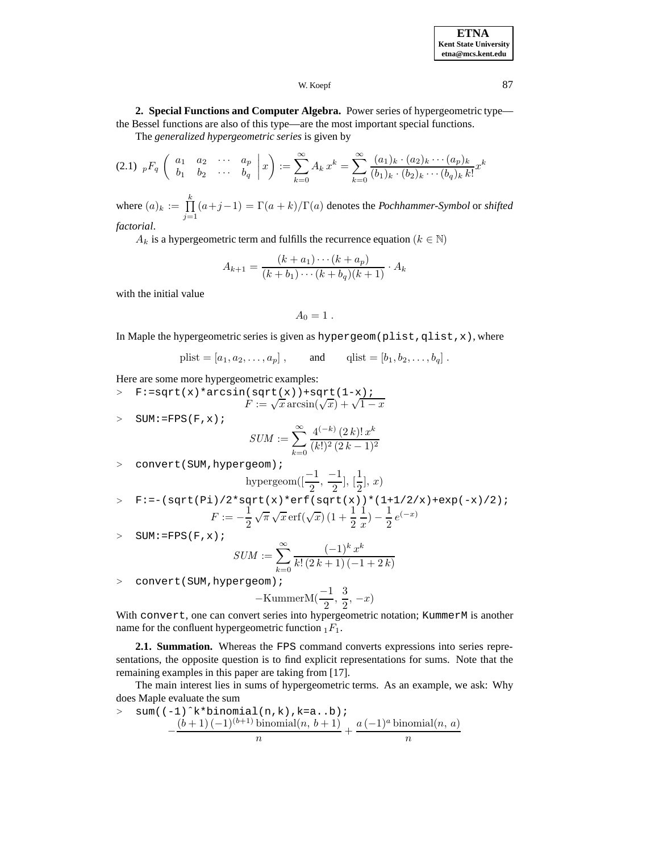### W. Koepf 87

**2. Special Functions and Computer Algebra.** Power series of hypergeometric type the Bessel functions are also of this type—are the most important special functions.

The *generalized hypergeometric series* is given by

$$
(2.1) \, pF_q \left( \begin{array}{cccc} a_1 & a_2 & \cdots & a_p \\ b_1 & b_2 & \cdots & b_q \end{array} \bigg| x \right) := \sum_{k=0}^{\infty} A_k x^k = \sum_{k=0}^{\infty} \frac{(a_1)_k \cdot (a_2)_k \cdots (a_p)_k}{(b_1)_k \cdot (b_2)_k \cdots (b_q)_k k!} x^k
$$

where  $(a)_k := \prod$ k  $\bar{j=1}$  $(a+j-1) = \Gamma(a+k)/\Gamma(a)$  denotes the *Pochhammer-Symbol* or *shifted factorial*.

 $A_k$  is a hypergeometric term and fulfills the recurrence equation ( $k \in \mathbb{N}$ )

$$
A_{k+1} = \frac{(k+a_1)\cdots(k+a_p)}{(k+b_1)\cdots(k+b_q)(k+1)} \cdot A_k
$$

with the initial value

$$
A_0=1.
$$

In Maple the hypergeometric series is given as hypergeom(plist,qlist,x), where

$$
plist = [a_1, a_2,..., a_p],
$$
 and  $qlist = [b_1, b_2,..., b_q].$ 

Here are some more hypergeometric examples:

> F:=sqrt(x)\*arcsin(sqrt(x))+sqrt(1-x);  
\n
$$
F := \sqrt{x} \arcsin(\sqrt{x}) + \sqrt{1-x}
$$

> SUM: = FPS(F, x); 
$$
\infty
$$
 4

$$
SUM := \sum_{k=0}^{\infty} \frac{4^{(-k)} (2 k)! x^{k}}{(k!)^2 (2 k - 1)^2}
$$

> convert(SUM, hypergeom);

hypergeom(
$$
[\frac{-1}{2}, \frac{-1}{2}], [\frac{1}{2}], x)
$$
)

> F:=-
$$
(sqrt(Pi)/2*sqrt(x)*erf(sqrt(x))*(1+1/2/x)+exp(-x)/2);
$$
  
\n
$$
F:=-\frac{1}{2}\sqrt{\pi}\sqrt{x}erf(\sqrt{x})(1+\frac{1}{2}\frac{1}{x})-\frac{1}{2}e^{(-x)}
$$

 $>$  SUM:=FPS(F, x);

$$
SUM := \sum_{k=0}^{\infty} \frac{(-1)^k x^k}{k! (2k+1)(-1+2k)}
$$

> convert(SUM, hypergeom);

$$
-\text{KummerM}(\frac{-1}{2},\frac{3}{2},-x)
$$

With convert, one can convert series into hypergeometric notation; KummerM is another name for the confluent hypergeometric function  $_1F_1$ .

**2.1. Summation.** Whereas the FPS command converts expressions into series representations, the opposite question is to find explicit representations for sums. Note that the remaining examples in this paper are taking from [17].

The main interest lies in sums of hypergeometric terms. As an example, we ask: Why does Maple evaluate the sum

 $>$  sum((-1)^k\*binomial(n,k),k=a..b);  $-\frac{(b+1)(-1)^{(b+1)} \text{binomial}(n, b+1)}{n} + \frac{a(-1)^a \text{binomial}(n, a)}{n}$ n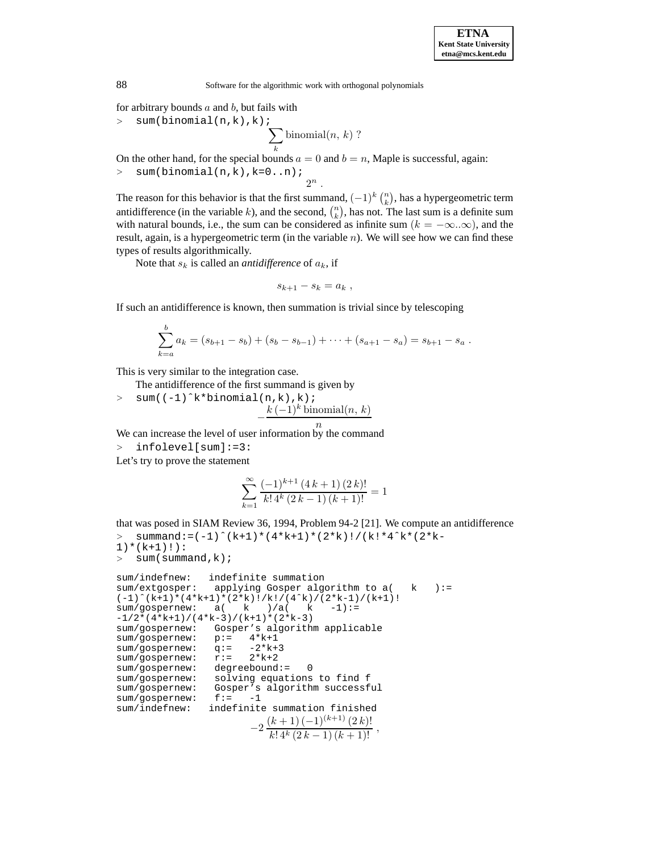for arbitrary bounds  $a$  and  $b$ , but fails with

<sup>&</sup>gt; sum(binomial(n,k),k);

$$
\sum_{k} \text{binomial}(n, k)
$$
?

On the other hand, for the special bounds  $a = 0$  and  $b = n$ , Maple is successful, again:  $>$  sum(binomial(n,k), k=0..n);

 $2^n$ .

The reason for this behavior is that the first summand,  $(-1)^k {n \choose k}$ , has a hypergeometric term antidifference (in the variable k), and the second,  $\binom{n}{k}$ , has not. The last sum is a definite sum with natural bounds, i.e., the sum can be considered as infinite sum ( $k = -\infty..\infty$ ), and the result, again, is a hypergeometric term (in the variable  $n$ ). We will see how we can find these types of results algorithmically.

Note that  $s_k$  is called an *antidifference* of  $a_k$ , if

$$
s_{k+1} - s_k = a_k \; ,
$$

If such an antidifference is known, then summation is trivial since by telescoping

$$
\sum_{k=a}^{b} a_k = (s_{b+1} - s_b) + (s_b - s_{b-1}) + \cdots + (s_{a+1} - s_a) = s_{b+1} - s_a.
$$

This is very similar to the integration case.

The antidifference of the first summand is given by

 $>$  sum((-1)^k\*binomial(n,k),k);  $-\frac{k(-1)^k \text{binomial}(n, k)}{n}$ 

We can increase the level of user information by the command

<sup>&</sup>gt; infolevel[sum]:=3:

Let's try to prove the statement

$$
\sum_{k=1}^{\infty} \frac{(-1)^{k+1} (4k+1) (2k)!}{k! 4^k (2k-1) (k+1)!} = 1
$$

that was posed in SIAM Review 36, 1994, Problem 94-2 [21]. We compute an antidifference  $>$  summand:=(-1)^(k+1)\*(4\*k+1)\*(2\*k)!/(k!\*4^k\*(2\*k-

```
1) * (k+1) : ) :
> sum(summand, k);
sum/indefnew: indefinite summation
sum/extgosper: applying Gosper algorithm to a( k ):=
(-1)^*(k+1)*(4*k+1)*(2*k)!/k!/(4^k)/(2*k-1)/(k+1)!<br>sum/qospernew: a(k)/a(k -1):=
sum/qospernew: a( k )/a( k )-1/2*(4*k+1)/(4*k-3)/(k+1)*(2*k-3)sum/gospernew: Gosper's algorithm applicable<br>sum/gospernew: p := 4*k+1sum/gospernew: p:= 4*k+1<br>sum/gospernew: q:= -2*k+3sum/gospernew: q:= -2*k+<br>sum/qospernew: r:= 2*k+2sum/gospernew: r:=sum/gospernew: degreebound:= 0
sum/gospernew: solving equations to find f<br>sum/gospernew: Gosper's algorithm successf
                     Gosper's algorithm successful
sum/gospernew: f:= -1
sum/indefnew: indefinite summation finished
                              -2\frac{(k+1)(-1)^{(k+1)}(2k)!}{k!\,4^k(2k-1)(k+1)!}
```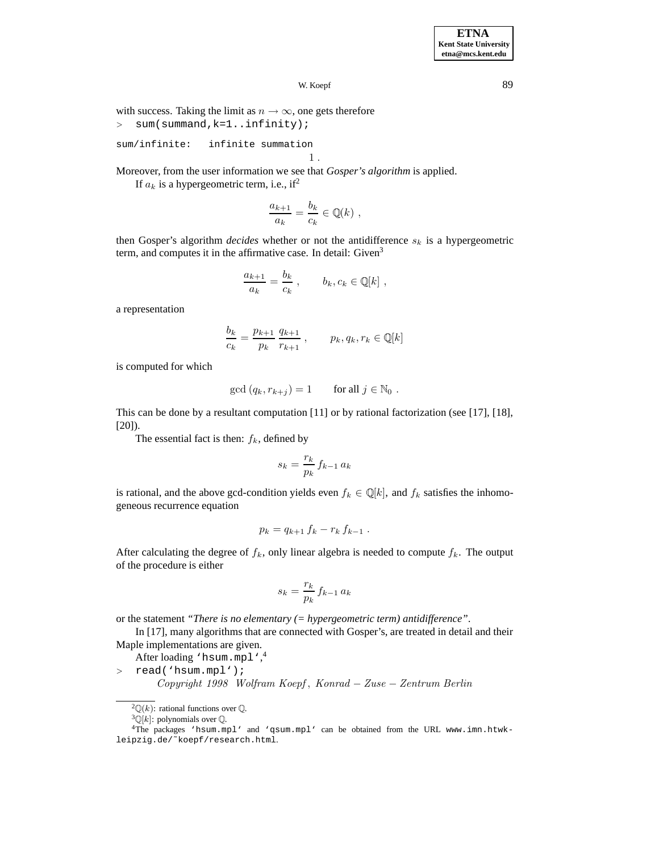W. Koepf 89

with success. Taking the limit as  $n \to \infty$ , one gets therefore <sup>&</sup>gt; sum(summand,k=1..infinity);

```
sum/infinite: infinite summation
                                 1 .
```
Moreover, from the user information we see that *Gosper's algorithm* is applied.

If  $a_k$  is a hypergeometric term, i.e., if<sup>2</sup>

$$
\frac{a_{k+1}}{a_k} = \frac{b_k}{c_k} \in \mathbb{Q}(k) ,
$$

then Gosper's algorithm *decides* whether or not the antidifference  $s_k$  is a hypergeometric term, and computes it in the affirmative case. In detail: Given<sup>3</sup>

$$
\frac{a_{k+1}}{a_k} = \frac{b_k}{c_k}, \qquad b_k, c_k \in \mathbb{Q}[k],
$$

a representation

$$
\frac{b_k}{c_k} = \frac{p_{k+1}}{p_k} \frac{q_{k+1}}{r_{k+1}}, \qquad p_k, q_k, r_k \in \mathbb{Q}[k]
$$

is computed for which

$$
\gcd(q_k, r_{k+j}) = 1 \qquad \text{for all } j \in \mathbb{N}_0 .
$$

This can be done by a resultant computation [11] or by rational factorization (see [17], [18], [20]).

The essential fact is then:  $f_k$ , defined by

$$
s_k = \frac{r_k}{p_k} f_{k-1} a_k
$$

is rational, and the above gcd-condition yields even  $f_k \in \mathbb{Q}[k]$ , and  $f_k$  satisfies the inhomogeneous recurrence equation

$$
p_k = q_{k+1} f_k - r_k f_{k-1} .
$$

After calculating the degree of  $f_k$ , only linear algebra is needed to compute  $f_k$ . The output of the procedure is either

$$
s_k = \frac{r_k}{p_k} f_{k-1} a_k
$$

or the statement *"There is no elementary (= hypergeometric term) antidifference"*.

In [17], many algorithms that are connected with Gosper's, are treated in detail and their Maple implementations are given.

After loading 'hsum.mpl',<sup>4</sup>

<sup>&</sup>gt; read('hsum.mpl');

*Copyright 1998 Wolfram Koepf* , *Konrad* − *Zuse* − *Zentrum Berlin*

<sup>&</sup>lt;sup>2</sup> $\mathbb{Q}(k)$ : rational functions over  $\mathbb{Q}$ .

 ${}^{3}\mathbb{Q}[k]$ : polynomials over  $\mathbb{Q}$ .

<sup>4</sup>The packages 'hsum.mpl' and 'qsum.mpl' can be obtained from the URL www.imn.htwkleipzig.de/˜koepf/research.html.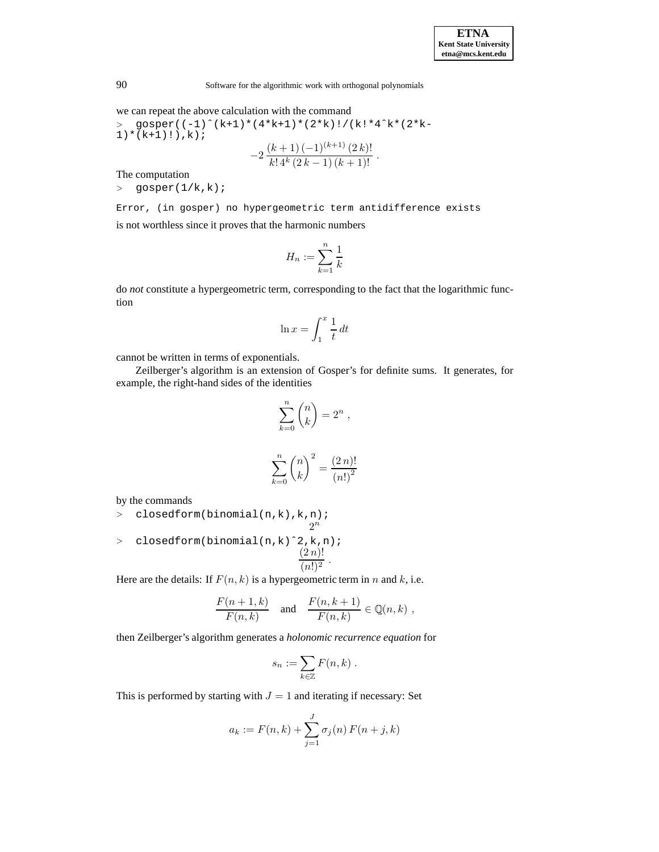we can repeat the above calculation with the command

> gosper((-1)^\*(k+1)\*(4\*k+1)\*(2\*k)!/(k!\*4^k\*(2\*k-1)\*(k+1)!), k);  
-2
$$
\frac{(k+1)(-1)^{(k+1)}(2k)!}{k!4k(2k-1)(k+1)!}.
$$

The computation

<sup>&</sup>gt; gosper(1/k,k);

Error, (in gosper) no hypergeometric term antidifference exists is not worthless since it proves that the harmonic numbers

$$
H_n := \sum_{k=1}^n \frac{1}{k}
$$

do *not* constitute a hypergeometric term, corresponding to the fact that the logarithmic function

$$
\ln x = \int_1^x \frac{1}{t} \, dt
$$

cannot be written in terms of exponentials.

Zeilberger's algorithm is an extension of Gosper's for definite sums. It generates, for example, the right-hand sides of the identities

$$
\sum_{k=0}^{n} \binom{n}{k} = 2^{n},
$$

$$
\sum_{k=0}^{n} \binom{n}{k}^{2} = \frac{(2\,n)!}{(n!)^{2}}
$$

by the commands

- > closedform(binomial(n,k),k,n);  $2^n$
- <sup>&</sup>gt; closedform(binomial(n,k)ˆ2,k,n);  $(2 n)!$  $\sqrt{(n!)^2}$

Here are the details: If  $F(n, k)$  is a hypergeometric term in n and k, i.e.

$$
\frac{F(n+1,k)}{F(n,k)} \quad \text{and} \quad \frac{F(n,k+1)}{F(n,k)} \in \mathbb{Q}(n,k) ,
$$

then Zeilberger's algorithm generates a *holonomic recurrence equation* for

$$
s_n := \sum_{k \in \mathbb{Z}} F(n,k) .
$$

This is performed by starting with  $J = 1$  and iterating if necessary: Set

$$
a_k := F(n,k) + \sum_{j=1}^{J} \sigma_j(n) F(n+j,k)
$$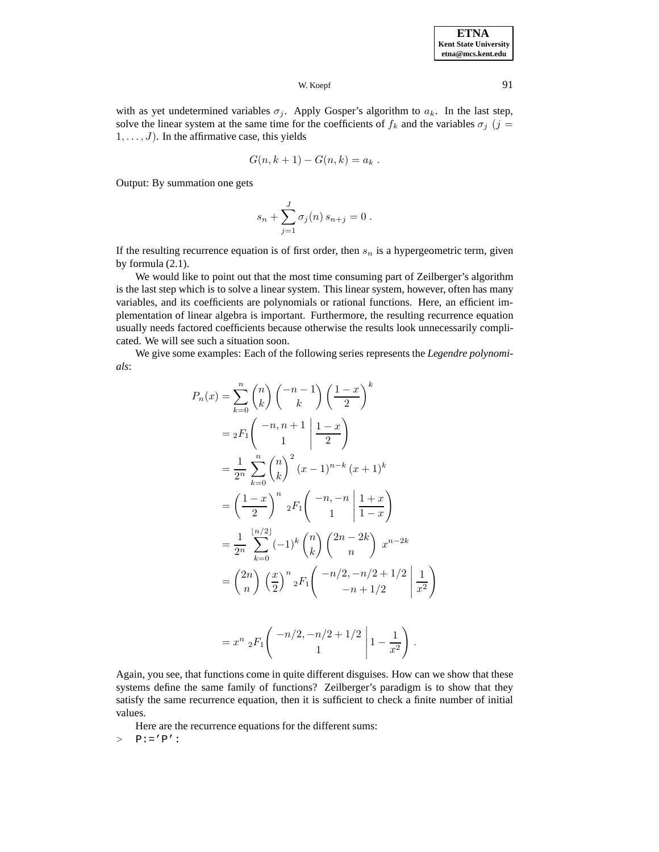## W. Koepf 91

with as yet undetermined variables  $\sigma_j$ . Apply Gosper's algorithm to  $a_k$ . In the last step, solve the linear system at the same time for the coefficients of  $f_k$  and the variables  $\sigma_j$  (j =  $1, \ldots, J$ ). In the affirmative case, this yields

$$
G(n,k+1)-G(n,k)=a_k.
$$

Output: By summation one gets

$$
s_n + \sum_{j=1}^J \sigma_j(n) \, s_{n+j} = 0 \; .
$$

If the resulting recurrence equation is of first order, then  $s_n$  is a hypergeometric term, given by formula (2.1).

We would like to point out that the most time consuming part of Zeilberger's algorithm is the last step which is to solve a linear system. This linear system, however, often has many variables, and its coefficients are polynomials or rational functions. Here, an efficient implementation of linear algebra is important. Furthermore, the resulting recurrence equation usually needs factored coefficients because otherwise the results look unnecessarily complicated. We will see such a situation soon.

We give some examples: Each of the following series represents the *Legendre polynomials*:

$$
P_n(x) = \sum_{k=0}^n {n \choose k} {n-1 \choose k} \left(\frac{1-x}{2}\right)^k
$$
  
=  ${}_2F_1 \left( \begin{array}{c} -n, n+1 \\ 1 \end{array} \middle| \frac{1-x}{2} \right)$   
=  $\frac{1}{2^n} \sum_{k=0}^n {n \choose k}^2 (x-1)^{n-k} (x+1)^k$   
=  $\left( \frac{1-x}{2} \right)^n {}_2F_1 \left( \begin{array}{c} -n, -n \\ 1 \end{array} \middle| \frac{1+x}{1-x} \right)$   
=  $\frac{1}{2^n} \sum_{k=0}^{\lfloor n/2 \rfloor} (-1)^k {n \choose k} {2n-2k \choose n} x^{n-2k}$   
=  ${2n \choose n} \left( \frac{x}{2} \right)^n {}_2F_1 \left( \begin{array}{c} -n/2, -n/2 + 1/2 \\ -n + 1/2 \end{array} \middle| \frac{1}{x^2} \right)$ 

$$
= x^{n} {}_{2}F_{1}\left(\begin{array}{c} -n/2, -n/2 + 1/2 \\ 1 \end{array} \middle| 1 - \frac{1}{x^{2}}\right).
$$

Again, you see, that functions come in quite different disguises. How can we show that these systems define the same family of functions? Zeilberger's paradigm is to show that they satisfy the same recurrence equation, then it is sufficient to check a finite number of initial values.

Here are the recurrence equations for the different sums:

 $>$  P:='P':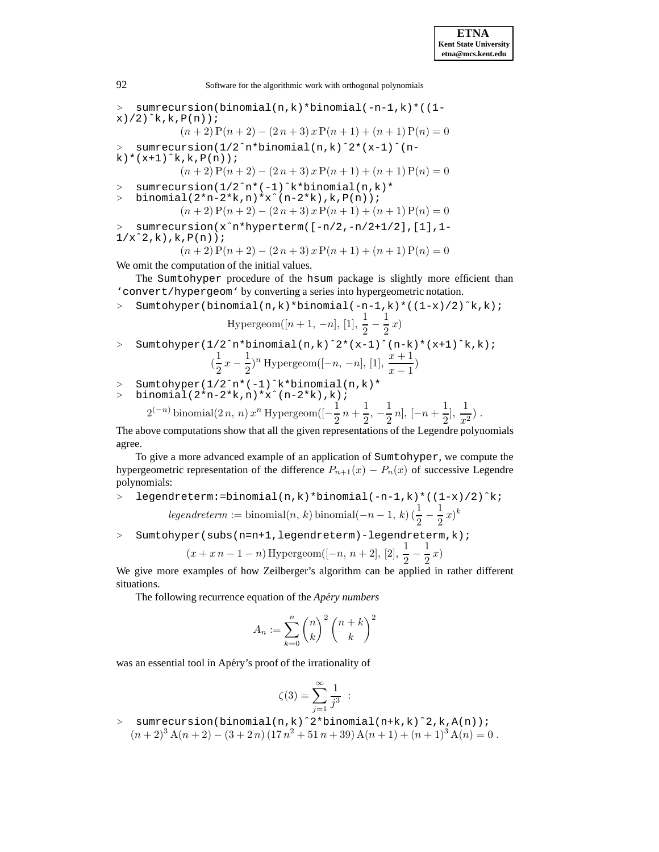<sup>&</sup>gt; sumrecursion(binomial(n,k)\*binomial(-n-1,k)\*((1  $x)/2$ ) $k, k, P(n)$ ;  $(n+2) P(n+2) - (2n+3) x P(n+1) + (n+1) P(n) = 0$ <sup>&</sup>gt; sumrecursion(1/2ˆn\*binomial(n,k)ˆ2\*(x-1)ˆ(n-

 $k$   $*(x+1)^k$ ,  $k$ ,  $P(n)$ ;

$$
(n+2) P(n+2) - (2 n + 3) x P(n+1) + (n+1) P(n) = 0
$$

- <sup>&</sup>gt; sumrecursion(1/2ˆn\*(-1)ˆk\*binomial(n,k)\*
- <sup>&</sup>gt; binomial(2\*n-2\*k,n)\*xˆ(n-2\*k),k,P(n));
	- $(n+2) P(n+2) (2n+3) x P(n+1) + (n+1) P(n) = 0$
- <sup>&</sup>gt; sumrecursion(xˆn\*hyperterm([-n/2,-n/2+1/2],[1],1-  $1/x^2, k), k, P(n)$ ;

$$
(n+2) P(n+2) - (2n+3) x P(n+1) + (n+1) P(n) = 0
$$

We omit the computation of the initial values.

The Sumtohyper procedure of the hsum package is slightly more efficient than 'convert/hypergeom' by converting a series into hypergeometric notation.

<sup>&</sup>gt; Sumtohyper(binomial(n,k)\*binomial(-n-1,k)\*((1-x)/2)ˆk,k);

Hypergeom([n + 1, -n], [1], 
$$
\frac{1}{2} - \frac{1}{2}x
$$
)

- <sup>&</sup>gt; Sumtohyper(1/2ˆn\*binomial(n,k)ˆ2\*(x-1)ˆ(n-k)\*(x+1)ˆk,k);  $\left(\frac{1}{2}\right)$  $\frac{1}{2}x - \frac{1}{2}$ <sup>n</sup> Hypergeom([-n, -n], [1],  $\frac{x+1}{x-1}$ )
- <sup>&</sup>gt; Sumtohyper(1/2ˆn\*(-1)ˆk\*binomial(n,k)\*
- <sup>&</sup>gt; binomial(2\*n-2\*k,n)\*xˆ(n-2\*k),k);

$$
2^{(-n)}
$$
 binomial $(2 n, n) x^n$  Hypergeom $([-\frac{1}{2}n + \frac{1}{2}, -\frac{1}{2}n], [-n + \frac{1}{2}], \frac{1}{x^2})$ .

The above computations show that all the given representations of the Legendre polynomials agree.

To give a more advanced example of an application of Sumtohyper, we compute the hypergeometric representation of the difference  $P_{n+1}(x) - P_n(x)$  of successive Legendre polynomials:

- <sup>&</sup>gt; legendreterm:=binomial(n,k)\*binomial(-n-1,k)\*((1-x)/2)ˆk;  $legentreterm := binomial(n, k) binomial(-n - 1, k) (\frac{1}{2} - \frac{1}{2}x)^k$
- > Sumtohyper(subs(n=n+1,legendreterm)-legendreterm, k);

$$
(x + x n - 1 - n)
$$
 Hypergeom( $[-n, n + 2]$ ,  $[2], \frac{1}{2} - \frac{1}{2}x)$ 

We give more examples of how Zeilberger's algorithm can be applied in rather different situations.

The following recurrence equation of the *Apery numbers ´*

$$
A_n := \sum_{k=0}^n \binom{n}{k}^2 \binom{n+k}{k}^2
$$

was an essential tool in Apéry's proof of the irrationality of

$$
\zeta(3) = \sum_{j=1}^{\infty} \frac{1}{j^3} :
$$

<sup>&</sup>gt; sumrecursion(binomial(n,k)ˆ2\*binomial(n+k,k)ˆ2,k,A(n));  $(n+2)^3 A(n+2) - (3+2 n) (17 n^2 + 51 n + 39) A(n+1) + (n+1)^3 A(n) = 0$ .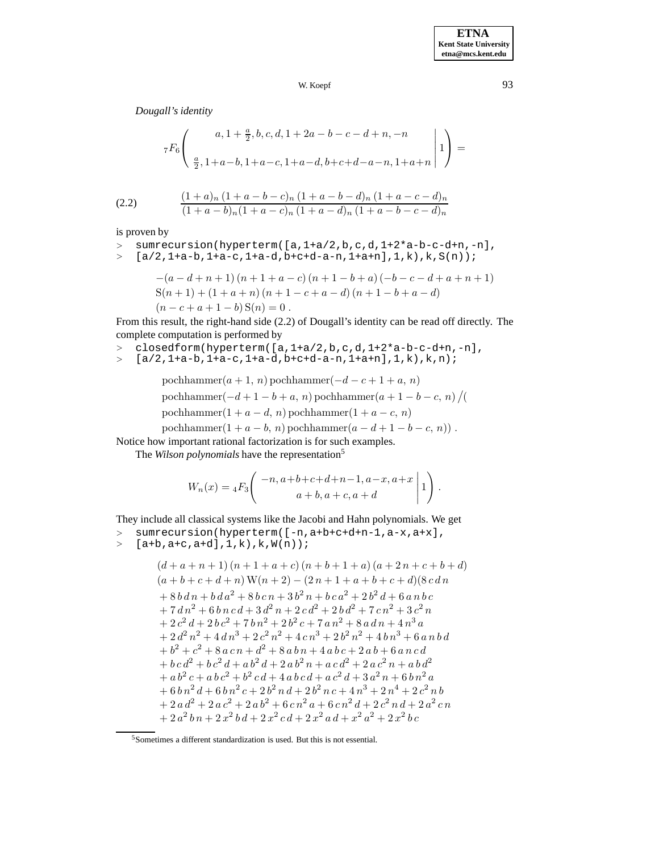*Dougall's identity*

$$
{}_{7}F_{6}\left(\begin{array}{c} a, 1+\frac{a}{2}, b, c, d, 1+2a-b-c-d+n, -n \\\\ \frac{a}{2}, 1+a-b, 1+a-c, 1+a-d, b+c+d-a-n, 1+a+n \end{array}\bigg|1\right) =
$$
\n(2.2) 
$$
\frac{(1+a)_n (1+a-b-c)_n (1+a-b-d)_n (1+a-c-d)_n}{(1+a-b)_n (1+a-c)_n (1+a-d)_n (1+a-b-c-d)_n}
$$

is proven by

<sup>&</sup>gt; sumrecursion(hyperterm([a,1+a/2,b,c,d,1+2\*a-b-c-d+n,-n],  $>$  [a/2,1+a-b,1+a-c,1+a-d,b+c+d-a-n,1+a+n],1,k),k,S(n));

$$
-(a-d+n+1)(n+1+a-c)(n+1-b+a)(-b-c-d+a+n+1)
$$
  
\n
$$
S(n+1)+(1+a+n)(n+1-c+a-d)(n+1-b+a-d)
$$
  
\n
$$
(n-c+a+1-b)S(n) = 0.
$$

From this result, the right-hand side (2.2) of Dougall's identity can be read off directly. The complete computation is performed by

- <sup>&</sup>gt; closedform(hyperterm([a,1+a/2,b,c,d,1+2\*a-b-c-d+n,-n],
- $>$  [a/2,1+a-b,1+a-c,1+a-d,b+c+d-a-n,1+a+n],1,k),k,n);

pochhammer(
$$
a + 1, n
$$
) pochhammer( $-d - c + 1 + a, n$ )  
pochhammer( $-d + 1 - b + a, n$ ) pochhammer( $a + 1 - b - c, n$ )/(  
pochhammer(1 +  $a - d, n$ ) pochhammer(1 +  $a - c, n$ )  
pochhammer(1 +  $a - b, n$ ) pochhammer( $a - d + 1 - b - c, n$ )).

Notice how important rational factorization is for such examples.

The *Wilson polynomials* have the representation<sup>5</sup>

$$
W_n(x) = {}_4F_3\left( \begin{array}{c} -n, a+b+c+d+n-1, a-x, a+x \ a+b, a+c, a+d \end{array} \middle| 1 \right).
$$

They include all classical systems like the Jacobi and Hahn polynomials. We get

- <sup>&</sup>gt; sumrecursion(hyperterm([-n,a+b+c+d+n-1,a-x,a+x],
- $>$  [a+b,a+c,a+d], $1, k$ ), $k, W(n)$ );

$$
\begin{array}{l} \left(d+a+n+1\right)(n+1+a+c)\left(n+b+1+a\right)(a+2\,n+c+b+d\right)\\ \left(a+b+c+d+n\right)\mathbf{W}(n+2)-(2\,n+1+a+b+c+d)(8\,c\,dn\\ +8\,b\,d\,n+b\,d\,a^{2}+8\,b\,c\,n+3\,b^{2}\,n+b\,c\,a^{2}+2\,b^{2}\,d+6\,a\,n\,b\,c\right.\\ +7\,d\,n^{2}+6\,b\,n\,c\,d+3\,d^{2}\,n+2\,c\,d^{2}+2\,b\,d^{2}+7\,c\,n^{2}+3\,c^{2}\,n\\ +2\,c^{2}\,d+2\,b\,c^{2}+7\,b\,n^{2}+2\,b^{2}\,c+7\,a\,n^{2}+8\,a\,d\,n+4\,n^{3}\,a\\ +2\,d^{2}\,n^{2}+4\,d\,n^{3}+2\,c^{2}\,n^{2}+4\,c\,n^{3}+2\,b^{2}\,n^{2}+4\,b\,n^{3}+6\,a\,n\,b\,d\\ +b^{2}+c^{2}+8\,a\,c\,n+d^{2}+8\,a\,b\,n+4\,a\,b\,c+2\,a\,b+6\,a\,n\,c\,d\\ +b\,c\,d^{2}+b\,c^{2}\,d+a\,b^{2}\,d+2\,a\,b^{2}\,n+a\,c\,d^{2}+2\,a\,c^{2}\,n+a\,b\,d^{2}\\ +a\,b^{2}\,c+a\,b\,c^{2}+b^{2}\,c\,d+4\,a\,b\,c\,d+a\,c^{2}\,d+3\,a^{2}\,n+b\,b\,n^{2}\,a\\ +6\,b\,n^{2}\,d+6\,b\,n^{2}\,c+2\,b^{2}\,n\,d+2\,b^{2}\,n\,c+4\,n^{3}+2\,n^{4}+2\,c^{2}\,n\,b\\ +2\,a\,d^{2}+2\,a\,c^{2}+2\,a\,b^{2}+6\,c\,n^{2}\,a+6\,c\
$$

 $^5$  Sometimes a different standardization is used. But this is not essential.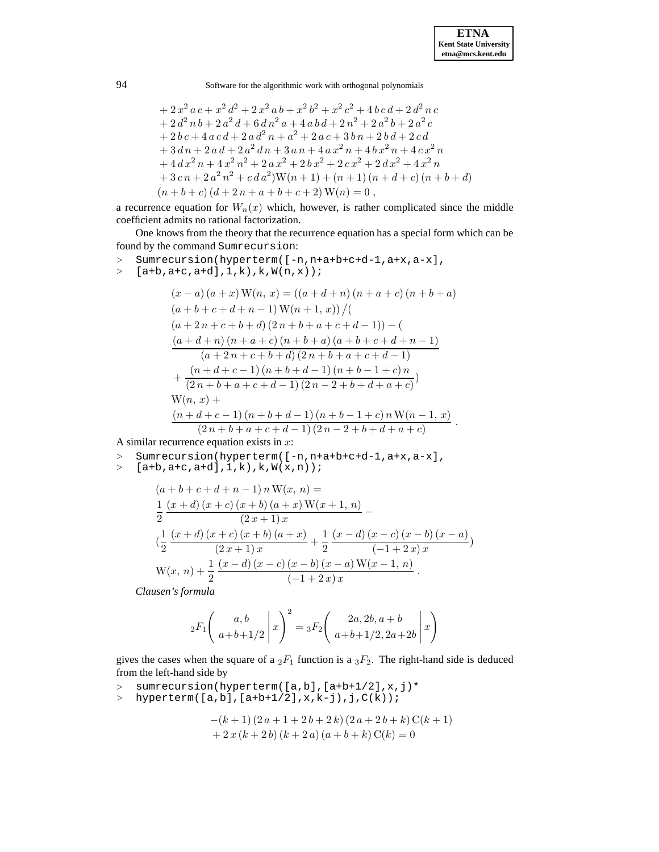$$
+ 2x2 ac + x2 d2 + 2x2 ab + x2 b2 + x2 c2 + 4 b c d + 2 d2 n c + 2 d2 n b + 2 a2 d + 6 d n2 a + 4 a b d + 2 n2 + 2 a2 b + 2 a2 c + 2 b c + 4 a c d + 2 a d2 n + a2 + 2 a c + 3 b n + 2 b d + 2 c d + 3 d n + 2 a d + 2 a2 d n + 3 a n + 4 a x2 n + 4 b x2 n + 4 c x2 n + 4 d x2 n + 4 x2 n2 + 2 a x2 + 2 b x2 + 2 c x2 + 2 d x2 + 4 x2 n + 3 c n + 2 a2 n2 + c d a2)W(n + 1) + (n + 1) (n + d + c) (n + b + d) (n + b + c) (d + 2 n + a + b + c + 2) W(n) = 0,
$$

a recurrence equation for  $W_n(x)$  which, however, is rather complicated since the middle coefficient admits no rational factorization.

One knows from the theory that the recurrence equation has a special form which can be found by the command Sumrecursion:

<sup>&</sup>gt; Sumrecursion(hyperterm([-n,n+a+b+c+d-1,a+x,a-x],  $>$  [a+b,a+c,a+d],1,k), $k, W(n,x)$ ;  $(x - a) (a + x) W(n, x) = ((a + d + n) (n + a + c) (n + b + a))$  $(a + b + c + d + n - 1) W(n + 1, x)$  /(  $(a + 2n + c + b + d) (2n + b + a + c + d - 1)) - ($  $(a+d+n)(n+a+c)(n+b+a)(a+b+c+d+n-1)$ 

$$
\frac{(a+2n+c+b+d)(2n+b+a+c+d-1)}{(a+d+c-1)(n+b+d-1)(n+b-1+c)n} + \frac{(n+d+c-1)(n+b+d-1)(n+b-1+c)n}{(2n+b+a+c+d-1)(2n-2+b+d+a+c)}\nW(n, x) +\n\frac{(n+d+c-1)(n+b+d-1)(n+b-1+c)nW(n-1, x)}{(2n+b+a+c+d-1)(2n-2+b+d+a+c)}.
$$

A similar recurrence equation exists in  $x$ :

- <sup>&</sup>gt; Sumrecursion(hyperterm([-n,n+a+b+c+d-1,a+x,a-x],
- $>$  [a+b,a+c,a+d],1,k),k, $W(x, n)$ ;

$$
(a+b+c+d+n-1) n W(x, n) =
$$
  
\n
$$
\frac{1}{2} \frac{(x+d)(x+c)(x+b)(a+x) W(x+1, n)}{(2x+1)x}
$$
  
\n
$$
(\frac{1}{2} \frac{(x+d)(x+c)(x+b)(a+x)}{(2x+1)x} + \frac{1}{2} \frac{(x-d)(x-c)(x-b)(x-a)}{(-1+2x)x})
$$
  
\n
$$
W(x, n) + \frac{1}{2} \frac{(x-d)(x-c)(x-b)(x-a) W(x-1, n)}{(-1+2x)x}.
$$

*Clausen's formula*

$$
{}_{2}F_{1}\left(\left.\frac{a,b}{a+b+1/2}\,\right|x\right)^{2} = {}_{3}F_{2}\left(\left.\frac{2a,2b,a+b}{a+b+1/2,2a+2b}\,\right|x\right)
$$

gives the cases when the square of a  ${}_2F_1$  function is a  ${}_3F_2$ . The right-hand side is deduced from the left-hand side by

- > sumrecursion(hyperterm([a,b],[a+b+1/2],x,j)\*<br>> hyperterm([a,b],[a+b+1/2],x,k-j),j,C(k));
- $hyperterm([a,b],[a+b+1/2],x,k-j),j,C(k))$ ;

$$
-(k+1)(2 a + 1 + 2 b + 2 k) (2 a + 2 b + k) C(k+1)+ 2 x (k+2 b) (k+2 a) (a+b+k) C(k) = 0
$$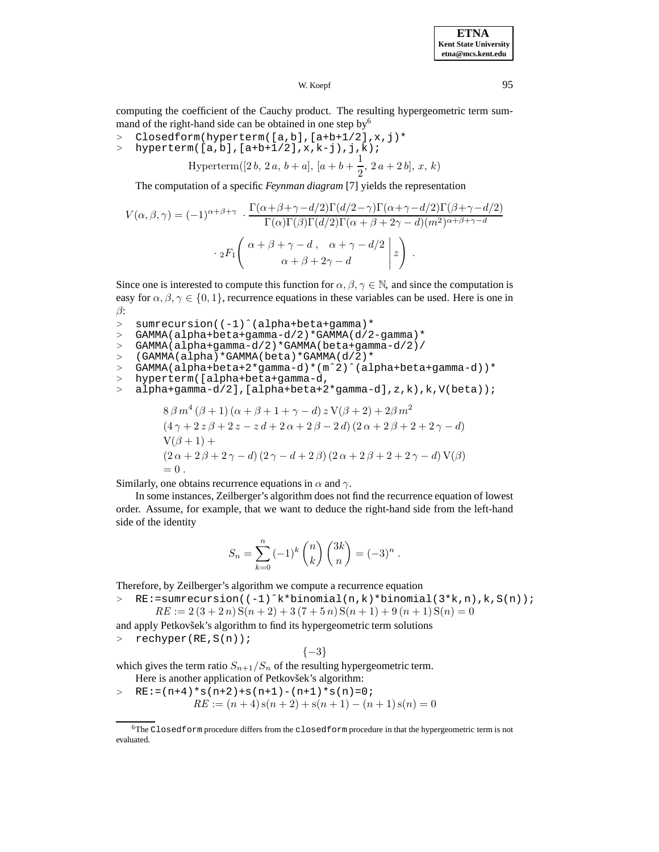W. Koepf 95

computing the coefficient of the Cauchy product. The resulting hypergeometric term summand of the right-hand side can be obtained in one step by<sup>6</sup>

- >  $\text{Closedform}(\text{hyperterm}([a,b],[a+b+1/2],x,j)*$ <br>> hyperterm([a,b],[a+b+1/2],x,k-i),i,k);
- <sup>&</sup>gt; hyperterm([a,b],[a+b+1/2],x,k-j),j,k);

Hyperterm([2 b, 2 a, b + a], [a + b + 
$$
\frac{1}{2}
$$
, 2 a + 2 b], x, k)

The computation of a specific *Feynman diagram* [7] yields the representation

$$
V(\alpha, \beta, \gamma) = (-1)^{\alpha + \beta + \gamma} \cdot \frac{\Gamma(\alpha + \beta + \gamma - d/2)\Gamma(d/2 - \gamma)\Gamma(\alpha + \gamma - d/2)\Gamma(\beta + \gamma - d/2)}{\Gamma(\alpha)\Gamma(\beta)\Gamma(d/2)\Gamma(\alpha + \beta + 2\gamma - d)(m^2)^{\alpha + \beta + \gamma - d}}
$$

$$
\cdot {}_{2}F_{1}\left(\begin{array}{cc} \alpha + \beta + \gamma - d, & \alpha + \gamma - d/2\\ \alpha + \beta + 2\gamma - d \end{array} \bigg| z\right) .
$$

Since one is interested to compute this function for  $\alpha, \beta, \gamma \in \mathbb{N}$ , and since the computation is easy for  $\alpha, \beta, \gamma \in \{0, 1\}$ , recurrence equations in these variables can be used. Here is one in β:

- > sumrecursion((-1)^(alpha+beta+gamma)\*
- <sup>&</sup>gt; GAMMA(alpha+beta+gamma-d/2)\*GAMMA(d/2-gamma)\*

<sup>&</sup>gt; GAMMA(alpha+gamma-d/2)\*GAMMA(beta+gamma-d/2)/

- >  $(GAMMA(alpha)*GAMMA(beta)*GAMMA(d/2)*$
- <sup>&</sup>gt; GAMMA(alpha+beta+2\*gamma-d)\*(mˆ2)ˆ(alpha+beta+gamma-d))\*
- <sup>&</sup>gt; hyperterm([alpha+beta+gamma-d,
- <sup>&</sup>gt; alpha+gamma-d/2],[alpha+beta+2\*gamma-d],z,k),k,V(beta));

$$
8\beta m^4 (\beta + 1) (\alpha + \beta + 1 + \gamma - d) z V(\beta + 2) + 2\beta m^2
$$
  
\n
$$
(4\gamma + 2 z \beta + 2 z - z d + 2 \alpha + 2 \beta - 2 d) (2\alpha + 2 \beta + 2 + 2 \gamma - d)
$$
  
\n
$$
V(\beta + 1) +
$$
  
\n
$$
(2\alpha + 2 \beta + 2 \gamma - d) (2\gamma - d + 2 \beta) (2\alpha + 2 \beta + 2 + 2 \gamma - d) V(\beta)
$$
  
\n= 0.

Similarly, one obtains recurrence equations in  $\alpha$  and  $\gamma$ .

In some instances, Zeilberger's algorithm does not find the recurrence equation of lowest order. Assume, for example, that we want to deduce the right-hand side from the left-hand side of the identity

$$
S_n = \sum_{k=0}^n (-1)^k \binom{n}{k} \binom{3k}{n} = (-3)^n .
$$

Therefore, by Zeilberger's algorithm we compute a recurrence equation

<sup>&</sup>gt; RE:=sumrecursion((-1)ˆk\*binomial(n,k)\*binomial(3\*k,n),k,S(n));  $RE := 2(3 + 2n)S(n + 2) + 3(7 + 5n)S(n + 1) + 9(n + 1)S(n) = 0$ 

$$
RL := 2(3 + 2n)S(n + 2) + 3(1 + 3n)S(n + 1) + 9(n + 1)S(n) =
$$

and apply Petkovšek's algorithm to find its hypergeometric term solutions

<sup>&</sup>gt; rechyper(RE,S(n));

$$
\{-3\}
$$

which gives the term ratio  $S_{n+1}/S_n$  of the resulting hypergeometric term. Here is another application of Petkovšek's algorithm:

 $\angle$  RE:=(n+4)\*s(n+2)+s(n+1)-(n+1)\*s(n)=0;  $RE := (n+4) s(n+2) + s(n+1) - (n+1) s(n) = 0$ 

<sup>6</sup>The Closedform procedure differs from the closedform procedure in that the hypergeometric term is not evaluated.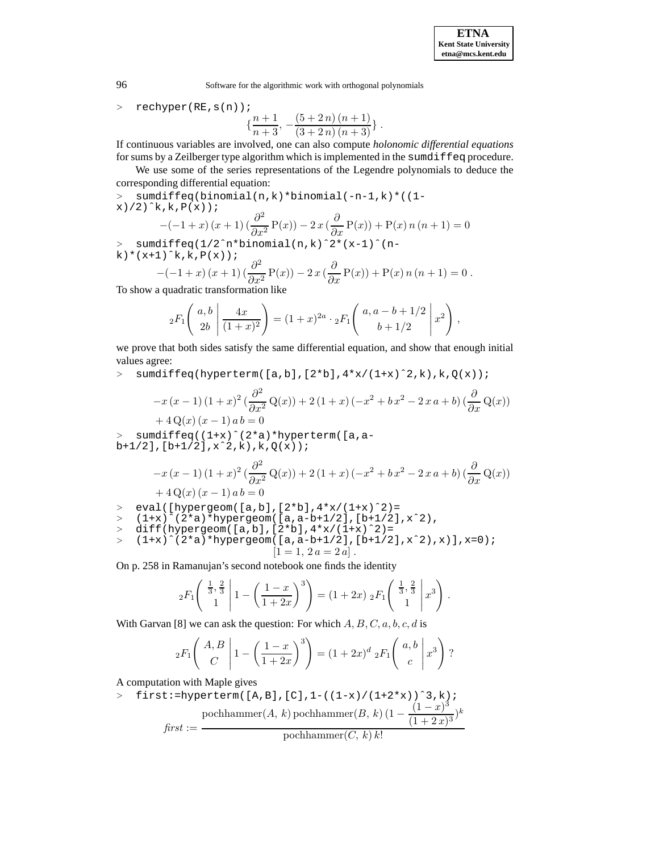96 Software for the algorithmic work with orthogonal polynomials

<sup>&</sup>gt; rechyper(RE,s(n));

 $\{\frac{n+1}{n+3}, -\frac{(5+2n)(n+1)}{(3+2n)(n+3)}\}$ .

If continuous variables are involved, one can also compute *holonomic differential equations* for sums by a Zeilberger type algorithm which is implemented in the sumdiffeq procedure.

We use some of the series representations of the Legendre polynomials to deduce the corresponding differential equation:

<sup>&</sup>gt; sumdiffeq(binomial(n,k)\*binomial(-n-1,k)\*((1  $x)/2$ ) $\hat{}$ k, k,  $P(x)$ );

$$
-(-1+x)(x+1)\left(\frac{\partial^2}{\partial x^2}P(x)\right) - 2x\left(\frac{\partial}{\partial x}P(x)\right) + P(x)n(n+1) = 0
$$

<sup>&</sup>gt; sumdiffeq(1/2ˆn\*binomial(n,k)ˆ2\*(x-1)ˆ(n $k$ ) \* (x+1) ^k, k,  $P(x)$ );

$$
-(-1+x)(x+1)(\frac{\partial^2}{\partial x^2}P(x)) - 2x(\frac{\partial}{\partial x}P(x)) + P(x)n(n+1) = 0.
$$

To show a quadratic transformation like

$$
{}_2F_1\left(\begin{array}{c} a,b \\ 2b \end{array} \middle| \frac{4x}{(1+x)^2}\right) = (1+x)^{2a} \cdot {}_2F_1\left(\begin{array}{c} a,a-b+1/2 \\ b+1/2 \end{array} \middle| x^2\right),
$$

we prove that both sides satisfy the same differential equation, and show that enough initial values agree:

 $>$  sumdiffeq(hyperterm([a,b],[2\*b],4\*x/(1+x)^2,k),k,Q(x));

$$
-x (x - 1) (1 + x)^{2} \left(\frac{\partial^{2}}{\partial x^{2}} Q(x)\right) + 2 (1 + x) (-x^{2} + b x^{2} - 2 x a + b) \left(\frac{\partial}{\partial x} Q(x)\right) + 4 Q(x) (x - 1) ab = 0
$$

<sup>&</sup>gt; sumdiffeq((1+x)ˆ(2\*a)\*hyperterm([a,a $b+1/2$ ],  $[b+1/2]$ ,  $x^2$ ,  $k$ ),  $k$ ,  $Q(x)$ ;

$$
-x (x - 1) (1 + x)^{2} \left(\frac{\partial^{2}}{\partial x^{2}} Q(x)\right) + 2 (1 + x) (-x^{2} + bx^{2} - 2 x a + b) \left(\frac{\partial}{\partial x} Q(x)\right) + 4 Q(x) (x - 1) ab = 0
$$

 $>$  eval([hypergeom([a,b],[2\*b],4\*x/(1+x)^2)=

$$
> (1+x)^{2} (2*a)*hypergeom([a,a-b+1/2],[b+1/2],x^2),
$$

$$
> diff(hypergeom([a,b],[2*b],4*x/(1+x)^2)=
$$

$$
= (1+x)^{2}(2*a)*hypergeom([a,a-b+1/2],[b+1/2],x^2),x)],x=0);
$$
  
[1 = 1, 2a = 2a].

On p. 258 in Ramanujan's second notebook one finds the identity

$$
{}_2F_1\left(\begin{array}{c} \frac{1}{3}, \frac{2}{3} \\ 1 \end{array} \middle| 1 - \left(\frac{1-x}{1+2x}\right)^3\right) = (1+2x) {}_2F_1\left(\begin{array}{c} \frac{1}{3}, \frac{2}{3} \\ 1 \end{array} \middle| x^3\right).
$$

With Garvan [8] we can ask the question: For which  $A, B, C, a, b, c, d$  is

$$
{}_2F_1\left(\begin{array}{c} A, B \\ C \end{array} \middle| 1 - \left(\frac{1-x}{1+2x}\right)^3\right) = (1+2x)^d {}_2F_1\left(\begin{array}{c} a, b \\ c \end{array} \middle| x^3\right)?
$$

A computation with Maple gives

$$
\text{first:}= \text{hyperterm}(\text{[A,B]}, \text{[C]}, 1 - ((1-x)/(1+2*x))^3, k);
$$
\n
$$
\text{pochhammer}(A, k) \text{pochhammer}(B, k) (1 - \frac{(1-x)^3}{(1+2x)^3})^k
$$
\n
$$
\text{first:} = \text{pochhammer}(C, k) k!
$$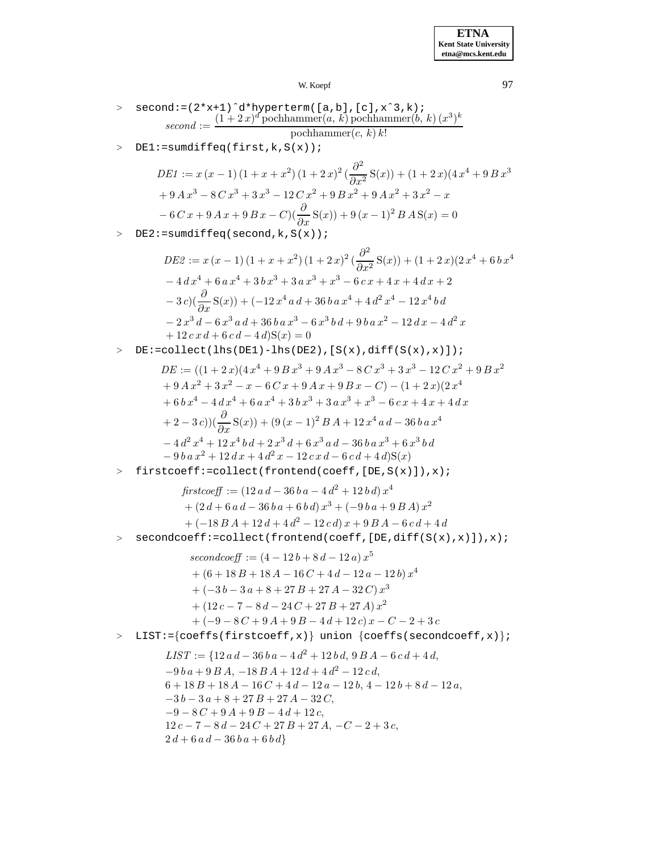W. Koepf 97

- $>$  second:=(2\*x+1)^d\*hyperterm([a,b],[c],x^3,k);  $second := \frac{(1+2x)^d$  pochhammer(a, k) pochhammer(b, k)  $(x^3)^k$ pochhammer $(c, k) k!$
- > DE1:=sumdiffeq(first,k,S(x));

$$
DE1 := x (x - 1) (1 + x + x2) (1 + 2x)2 (\frac{\partial^{2}}{\partial x^{2}} S(x)) + (1 + 2x)(4x^{4} + 9Bx^{3}
$$
  
+ 9 A x<sup>3</sup> - 8 C x<sup>3</sup> + 3x<sup>3</sup> - 12 C x<sup>2</sup> + 9 B x<sup>2</sup> + 9 A x<sup>2</sup> + 3x<sup>2</sup> - x  
- 6 C x + 9 A x + 9 B x - C)( $\frac{\partial}{\partial x} S(x)$ ) + 9 (x - 1)<sup>2</sup> B A S(x) = 0

> DE2:=sumdiffeq(second,k,S(x));

$$
DE2 := x (x - 1) (1 + x + x2) (1 + 2 x)2 (\frac{\partial^{2}}{\partial x^{2}} S(x)) + (1 + 2 x) (2 x4 + 6 x4- 4 dx4 + 6 a x4 + 3 b x3 + 3 a x3 + x3 - 6 c x + 4 x + 4 d x + 2- 3 c) (\frac{\partial}{\partial x} S(x)) + (-12 x4 a d + 36 b a x4 + 4 d2 x4 - 12 x4 b d- 2 x3 d - 6 x3 a d + 36 b a x3 - 6 x3 b d + 9 b a x2 - 12 d x - 4 d2 x+ 12 c x d + 6 c d - 4 d) S(x) = 0
$$

<sup>&</sup>gt; DE:=collect(lhs(DE1)-lhs(DE2),[S(x),diff(S(x),x)]);

$$
DE := ((1 + 2x)(4x4 + 9Bx3 + 9Ax3 - 8Cx3 + 3x3 - 12Cx2 + 9Bx2+ 9Ax2 + 3x2 - x - 6Cx + 9Ax + 9Bx - C) - (1 + 2x)(2x4+ 6bx4 - 4dx4 + 6ax4 + 3bx3 + 3ax3 + x3 - 6cx + 4x + 4dx+ 2 - 3c))(\frac{\partial}{\partial x}S(x)) + (9(x - 1)2B A + 12x4 a d - 36b a x4- 4d2x4 + 12x4b d + 2x3d + 6x3 a d - 36b a x3 + 6x3b d- 9ba x2 + 12dx + 4d2x - 12cx d - 6cd + 4d)S(x)
$$

<sup>&</sup>gt; firstcoeff:=collect(frontend(coeff,[DE,S(x)]),x);

$$
firstcoeff := (12 ad - 36 ba - 4 d2 + 12 bd) x4
$$
  
+ (2 d + 6 a d - 36 ba + 6 bd) x<sup>3</sup> + (-9 ba + 9 B A) x<sup>2</sup>  
+ (-18 B A + 12 d + 4 d<sup>2</sup> - 12 cd) x + 9 B A - 6 cd + 4 d

<sup>&</sup>gt; secondcoeff:=collect(frontend(coeff,[DE,diff(S(x),x)]),x);

 $secondcoeff := (4-12b+8d-12a)x^5$  $+(6+18B+18A-16C+4d-12a-12b)x<sup>4</sup>$  $+ (-3 b - 3 a + 8 + 27 B + 27 A - 32 C) x^3$  $+(12 c - 7 - 8 d - 24 C + 27 B + 27 A) x^2$  $+ (-9 - 8C + 9A + 9B - 4d + 12c)x - C - 2 + 3c$ 

<sup>&</sup>gt; LIST:={coeffs(firstcoeff,x)} union {coeffs(secondcoeff,x)};

 $LIST := \{12 a d - 36 b a - 4 d^2 + 12 b d, 9 B A - 6 c d + 4 d,$  $-9 b a + 9 B A$ ,  $-18 B A + 12 d + 4 d<sup>2</sup> - 12 c d$ ,  $6 + 18B + 18A - 16C + 4d - 12a - 12b$ ,  $4 - 12b + 8d - 12a$ ,  $-3 b - 3 a + 8 + 27 B + 27 A - 32 C$  $-9 - 8C + 9A + 9B - 4d + 12c,$  $12 c - 7 - 8 d - 24 C + 27 B + 27 A$ ,  $-C - 2 + 3 c$ ,  $2 d + 6 a d - 36 b a + 6 b d$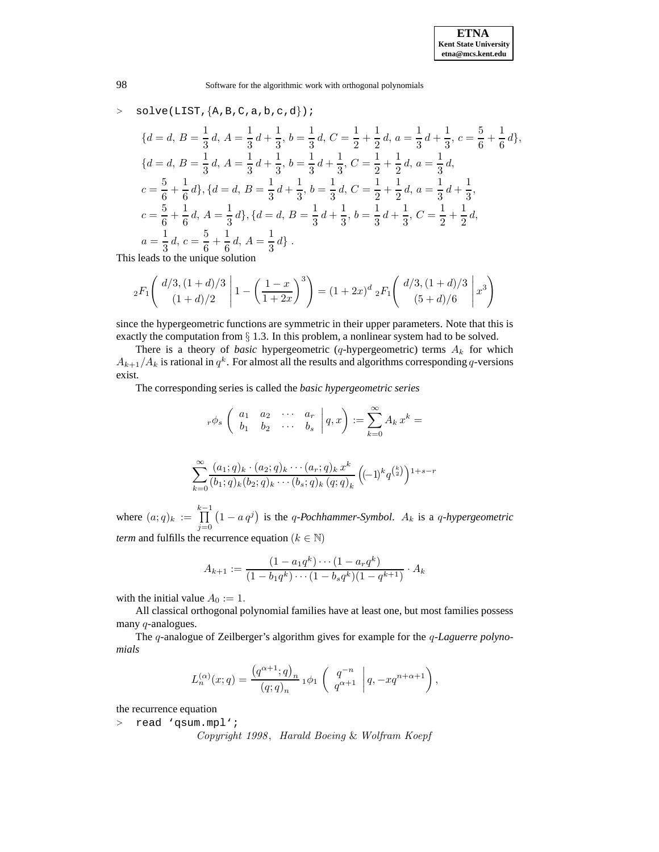$$
\begin{aligned}\n&\text{solve (LIST, }\{A, B, C, a, b, c, d\})\n\end{aligned}; \\
\{d = d, B = \frac{1}{3}d, A = \frac{1}{3}d + \frac{1}{3}, b = \frac{1}{3}d, C = \frac{1}{2} + \frac{1}{2}d, a = \frac{1}{3}d + \frac{1}{3}, c = \frac{5}{6} + \frac{1}{6}d\}, \\
\{d = d, B = \frac{1}{3}d, A = \frac{1}{3}d + \frac{1}{3}, b = \frac{1}{3}d + \frac{1}{3}, C = \frac{1}{2} + \frac{1}{2}d, a = \frac{1}{3}d, \\
c = \frac{5}{6} + \frac{1}{6}d\}, \{d = d, B = \frac{1}{3}d + \frac{1}{3}, b = \frac{1}{3}d, C = \frac{1}{2} + \frac{1}{2}d, a = \frac{1}{3}d + \frac{1}{3}, \\
c = \frac{5}{6} + \frac{1}{6}d, A = \frac{1}{3}d\}, \{d = d, B = \frac{1}{3}d + \frac{1}{3}, b = \frac{1}{3}d + \frac{1}{3}, C = \frac{1}{2} + \frac{1}{2}d, \\
a = \frac{1}{3}d, c = \frac{5}{6} + \frac{1}{6}d, A = \frac{1}{3}d\}. \n\end{aligned}
$$

This leads to the unique solution

$$
{}_2F_1\left(\left.\frac{d/3,(1+d)/3}{(1+d)/2}\right|1-\left(\frac{1-x}{1+2x}\right)^3\right)=(1+2x)^d {}_2F_1\left(\left.\frac{d/3,(1+d)/3}{(5+d)/6}\right|x^3\right)
$$

since the hypergeometric functions are symmetric in their upper parameters. Note that this is exactly the computation from  $\S$  1.3. In this problem, a nonlinear system had to be solved.

There is a theory of *basic* hypergeometric (q-hypergeometric) terms  $A_k$  for which  $A_{k+1}/A_k$  is rational in  $q^k$ . For almost all the results and algorithms corresponding q-versions exist.

The corresponding series is called the *basic hypergeometric series*

$$
{}_r\phi_s\left(\begin{array}{cccc}a_1&a_2&\cdots&a_r\\b_1&b_2&\cdots&b_s\end{array}\bigg|q,x\right):=\sum_{k=0}^\infty A_kx^k=
$$

$$
\sum_{k=0}^{\infty} \frac{(a_1;q)_k \cdot (a_2;q)_k \cdots (a_r;q)_k x^k}{(b_1;q)_k (b_2;q)_k \cdots (b_s;q)_k (q;q)_k} \left( (-1)^k q^{\binom{k}{2}} \right)^{1+s-r}
$$

where  $(a;q)_k := \prod^{k-1}$  $\tilde{j=0}$  $(1 - a q<sup>j</sup>)$  is the q-Pochhammer-Symbol.  $A_k$  is a q-hypergeometric *term* and fulfills the recurrence equation ( $k \in \mathbb{N}$ )

$$
A_{k+1} := \frac{(1 - a_1 q^k) \cdots (1 - a_r q^k)}{(1 - b_1 q^k) \cdots (1 - b_s q^k)(1 - q^{k+1})} \cdot A_k
$$

with the initial value  $A_0 := 1$ .

All classical orthogonal polynomial families have at least one, but most families possess many q-analogues.

The q-analogue of Zeilberger's algorithm gives for example for the q*-Laguerre polynomials*

$$
L_n^{(\alpha)}(x;q)=\frac{\left(q^{\alpha+1};q\right)_n}{\left(q;q\right)_n}\,{}_1\phi_1\left(\begin{array}{c}q^{-n}\\q^{\alpha+1}\end{array}\bigg|\,q,-xq^{n+\alpha+1}\right),
$$

the recurrence equation

<sup>&</sup>gt; read 'qsum.mpl';

*Copyright 1998*, *Harald Boeing* & *Wolfram Koepf*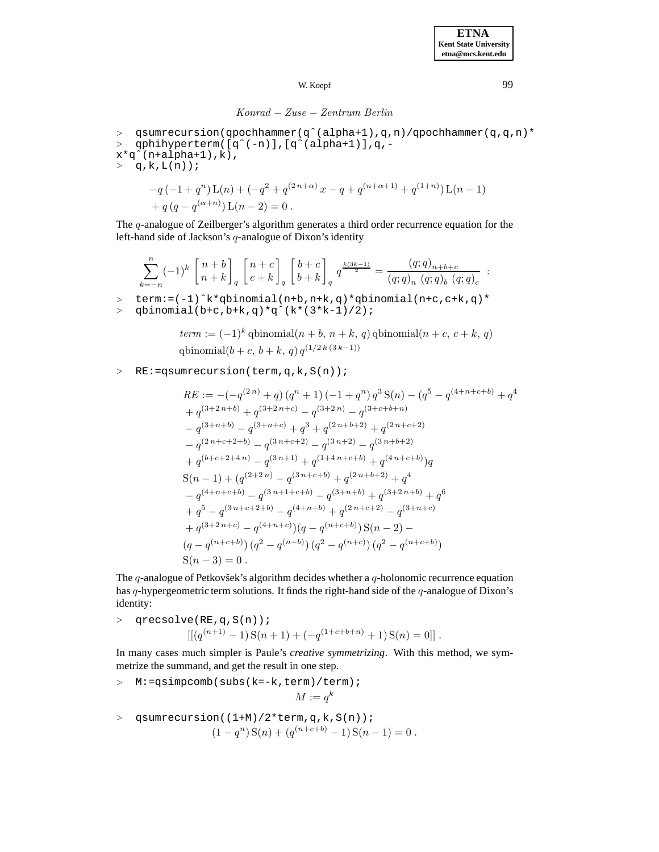## *Konrad* − *Zuse* − *Zentrum Berlin*

<sup>&</sup>gt; qsumrecursion(qpochhammer(qˆ(alpha+1),q,n)/qpochhammer(q,q,n)\* <sup>&</sup>gt; qphihyperterm([qˆ(-n)],[qˆ(alpha+1)],q,-  $\mathtt{x}\mathtt{*q}\mathtt{^*}(\mathtt{n}\mathtt{+alpha}\mathtt{+1})$  ,  $\mathtt{k})$  ,  $> q, k, L(n)$ ;  $-q(-1+q^n)\mathop{\rm L}(n)+(-q^2+q^{(2\,n+\alpha)}\,x-q+q^{(n+\alpha+1)}+q^{(1+n)})\mathop{\rm L}(n-1)$ 

+
$$
q(q - q^{(\alpha+n)})
$$
 L $(n-2) = 0$ .

The  $q$ -analogue of Zeilberger's algorithm generates a third order recurrence equation for the left-hand side of Jackson's  $q$ -analogue of Dixon's identity

$$
\sum_{k=-n}^{n}(-1)^{k}\begin{bmatrix}n+b\\ n+k\end{bmatrix}_{q}\begin{bmatrix}n+c\\ c+k\end{bmatrix}_{q}\begin{bmatrix}b+c\\ b+k\end{bmatrix}_{q}q^{\frac{k(3k-1)}{2}}=\frac{(q;q)_{n+b+c}}{(q;q)_{n}\ (q;q)_{b}\ (q;q)_{c}}:
$$

<sup>&</sup>gt; term:=(-1)ˆk\*qbinomial(n+b,n+k,q)\*qbinomial(n+c,c+k,q)\*

<sup>&</sup>gt; qbinomial(b+c,b+k,q)\*qˆ(k\*(3\*k-1)/2);

$$
term := (-1)^k \text{ qbinomial}(n + b, n + k, q) \text{ qbinomial}(n + c, c + k, q)
$$
  
qbinomial $(b + c, b + k, q) q^{(1/2k (3k-1))}$ 

## <sup>&</sup>gt; RE:=qsumrecursion(term,q,k,S(n));

$$
RE := -(-q^{(2\,n)} + q) (q^n + 1) (-1 + q^n) q^3 S(n) - (q^5 - q^{(4+n+c+b)} + q^4
$$
  
+  $q^{(3+2\,n+b)} + q^{(3+2\,n+c)} - q^{(3+2\,n)} - q^{(3+c+b+n)}$   
-  $q^{(3+n+b)} - q^{(3+n+c)} + q^3 + q^{(2\,n+b+2)} + q^{(2\,n+c+2)}$   
-  $q^{(2\,n+c+2+b)} - q^{(3\,n+c+2)} - q^{(3\,n+2)} - q^{(3\,n+b+2)}$   
+  $q^{(b+c+2+4\,n)} - q^{(3\,n+1)} + q^{(1+4\,n+c+b)} + q^{(4\,n+c+b)})q$   
 $S(n-1) + (q^{(2+2\,n)} - q^{(3\,n+c+b)} + q^{(2\,n+b+2)} + q^4$   
-  $q^{(4+n+c+b)} - q^{(3\,n+1+c+b)} - q^{(3+n+b)} + q^{(3+2\,n+b)} + q^6$   
+  $q^5 - q^{(3\,n+c+2+b)} - q^{(4+n+b)} + q^{(2\,n+c+2)} - q^{(3+n+c)}$   
+  $q^{(3+2\,n+c)} - q^{(4+n+c)})(q - q^{(n+c+b)}) S(n-2) -$   
 $(q - q^{(n+c+b)}) (q^2 - q^{(n+c)}) (q^2 - q^{(n+c)})$   
 $S(n-3) = 0$ .

The  $q$ -analogue of Petkovšek's algorithm decides whether a  $q$ -holonomic recurrence equation has  $q$ -hypergeometric term solutions. It finds the right-hand side of the  $q$ -analogue of Dixon's identity:

> 
$$
\text{qrecsolve}(\text{RE}, q, S(n))
$$
;  
\n
$$
[[(q^{(n+1)} - 1)S(n+1) + (-q^{(1+c+b+n)} + 1)S(n) = 0]].
$$

In many cases much simpler is Paule's *creative symmetrizing*. With this method, we symmetrize the summand, and get the result in one step.

- <sup>&</sup>gt; M:=qsimpcomb(subs(k=-k,term)/term);  $M := a^k$
- <sup>&</sup>gt; qsumrecursion((1+M)/2\*term,q,k,S(n));  $(1 - q^n) S(n) + (q^{(n+c+b)} - 1) S(n-1) = 0$ .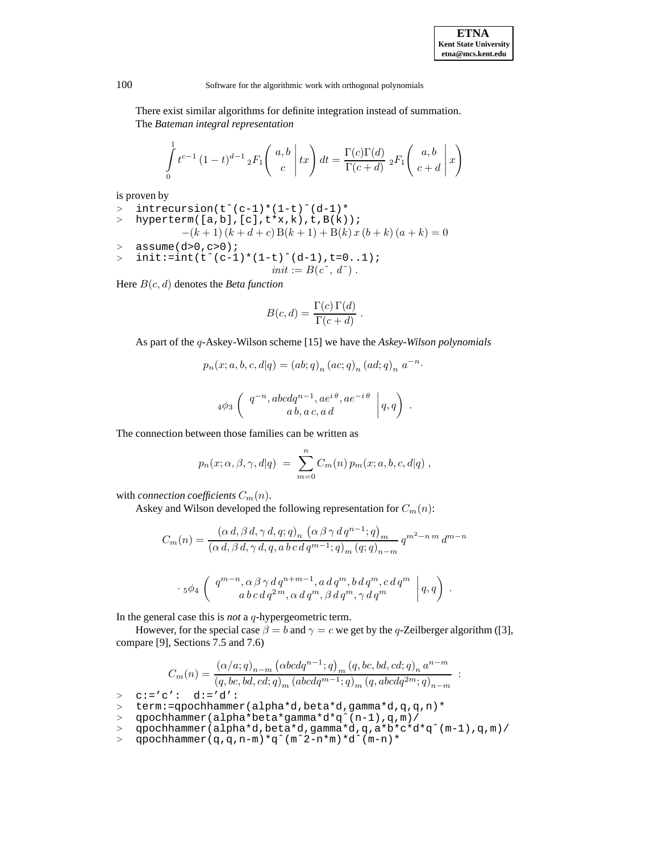There exist similar algorithms for definite integration instead of summation. The *Bateman integral representation*

$$
\int_{0}^{1} t^{c-1} (1-t)^{d-1} {}_{2}F_{1}\left(\begin{array}{c} a,b\\c\end{array}\bigg|tx\right) dt = \frac{\Gamma(c)\Gamma(d)}{\Gamma(c+d)} {}_{2}F_{1}\left(\begin{array}{c} a,b\\c+d\end{array}\bigg|x\right)
$$

is proven by

> 
$$
\text{intersection}(t^c(c-1)*(1-t)^d(d-1)*
$$
  
\n>  $\text{hyperterm}([a,b],[c],t*x,k),t,B(k));$   
\n $-(k+1)(k+d+c)B(k+1)+B(k)x(b+k)(a+k)=0$   
\n $\text{assume}(d>0,c>0);$   
\n $\text{init}:=\text{int}(t^c(c-1)*(1-t)^d(d-1),t=0..1);$   
\n $\text{init}:=B(c^c,d^c).$ 

Here B(c, d) denotes the *Beta function*

$$
B(c,d) = \frac{\Gamma(c)\,\Gamma(d)}{\Gamma(c+d)}.
$$

As part of the q-Askey-Wilson scheme [15] we have the *Askey-Wilson polynomials*

$$
p_n(x;a,b,c,d|q) = (ab;q)_n (ac;q)_n (ad;q)_n a^{-n}.
$$
  

$$
4\phi_3 \begin{pmatrix} q^{-n}, abcdq^{n-1}, ae^{i\theta}, ae^{-i\theta} \\ ab, a c, a d \end{pmatrix} q, q.
$$

The connection between those families can be written as

$$
p_n(x; \alpha, \beta, \gamma, d|q) = \sum_{m=0}^n C_m(n) p_m(x; a, b, c, d|q) ,
$$

with *connection coefficients*  $C_m(n)$ .

Askey and Wilson developed the following representation for  $C_m(n)$ :

$$
C_m(n) = \frac{(\alpha d, \beta d, \gamma d, q; q)_n (\alpha \beta \gamma d q^{n-1}; q)_m}{(\alpha d, \beta d, \gamma d, q, a b c d q^{m-1}; q)_m (q; q)_{n-m}} q^{m^2 - n m} d^{m-n}
$$
  

$$
\cdot 5\phi_4 \left( \begin{array}{c} q^{m-n}, \alpha \beta \gamma d q^{n+m-1}, a d q^m, b d q^m, c d q^m \\ a b c d q^{2m}, \alpha d q^m, \beta d q^m, \gamma d q^m \end{array} \bigg| q, q \right) .
$$

In the general case this is *not* a q-hypergeometric term.

However, for the special case  $\beta = b$  and  $\gamma = c$  we get by the q-Zeilberger algorithm ([3], compare [9], Sections 7.5 and 7.6)

$$
C_m(n)=\frac{\left(\alpha/a;q\right)_{n-m}\left(\alpha bcdq^{n-1};q\right)_{m}(q,bc,bd,cd;q)_{n}a^{n-m}}{\left(q,bc,bd,cd;q\right)_{m}\left(\alpha bcdq^{m-1};q\right)_{m}(q,abcdq^{2m};q)_{n-m}}\enspace.
$$

 $> c:=c': d:='d':$ 

- <sup>&</sup>gt; qpochhammer(alpha\*beta\*gamma\*d\*qˆ(n-1),q,m)/
- <sup>&</sup>gt; qpochhammer(alpha\*d,beta\*d,gamma\*d,q,a\*b\*c\*d\*qˆ(m-1),q,m)/
- <sup>&</sup>gt; qpochhammer(q,q,n-m)\*qˆ(mˆ2-n\*m)\*dˆ(m-n)\*

<sup>&</sup>gt; term:=qpochhammer(alpha\*d,beta\*d,gamma\*d,q,q,n)\*